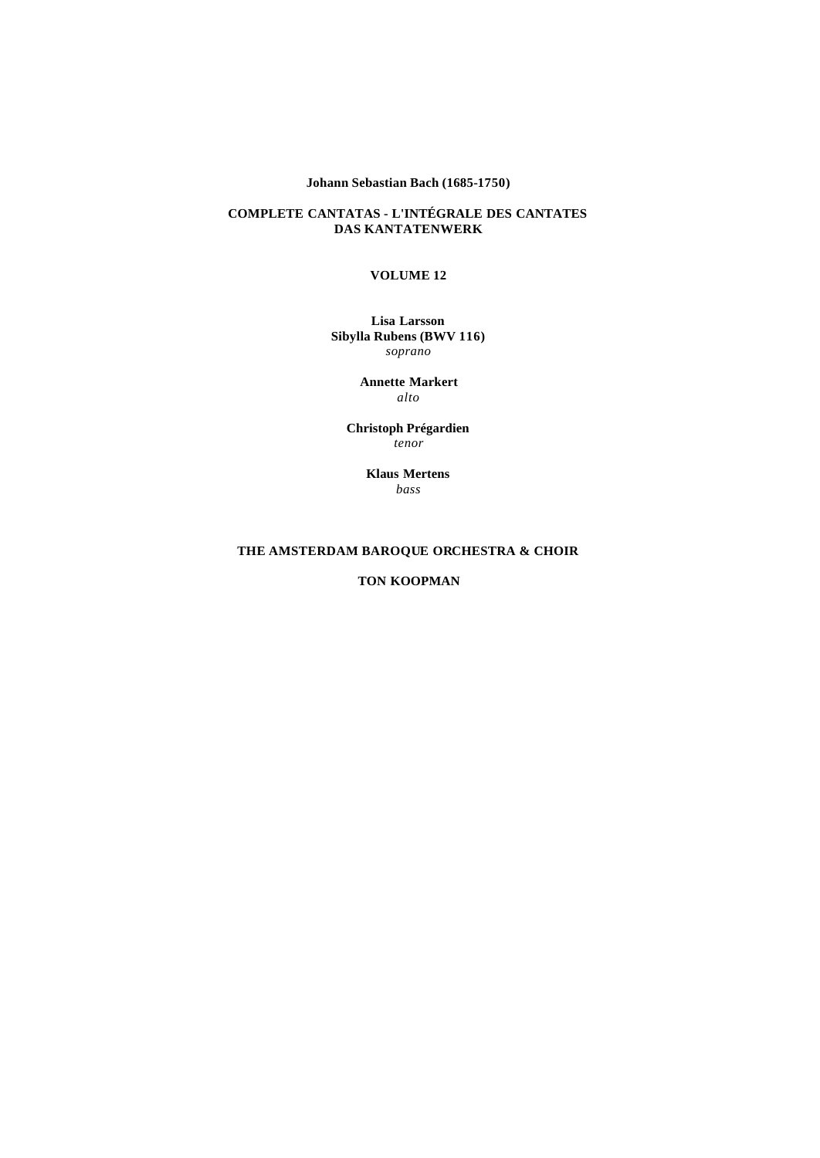## **Johann Sebastian Bach (1685-1750)**

### **COMPLETE CANTATAS - L'INTÉGRALE DES CANTATES DAS KANTATENWERK**

### **VOLUME 12**

#### **Lisa Larsson Sibylla Rubens (BWV 116)** *soprano*

**Annette Markert** *alto*

**Christoph Prégardien** *tenor*

> **Klaus Mertens** *bass*

## **THE AMSTERDAM BAROQUE ORCHESTRA & CHOIR**

**TON KOOPMAN**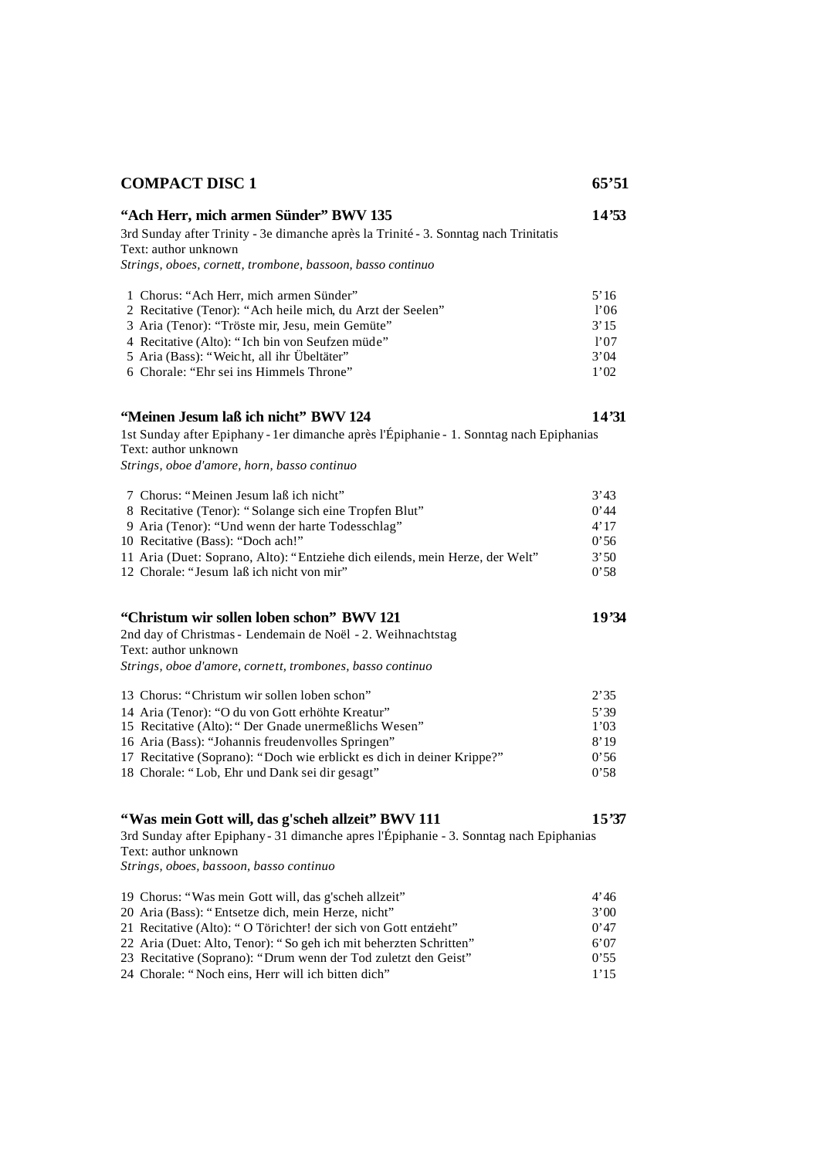| <b>COMPACT DISC 1</b>                                                                                                                | 65'51        |
|--------------------------------------------------------------------------------------------------------------------------------------|--------------|
| "Ach Herr, mich armen Sünder" BWV 135<br>3rd Sunday after Trinity - 3e dimanche après la Trinité - 3. Sonntag nach Trinitatis        | 14'53        |
| Text: author unknown                                                                                                                 |              |
| Strings, oboes, cornett, trombone, bassoon, basso continuo                                                                           |              |
| 1 Chorus: "Ach Herr, mich armen Sünder"                                                                                              | 5'16         |
| 2 Recitative (Tenor): "Ach heile mich, du Arzt der Seelen"                                                                           | 1'06         |
| 3 Aria (Tenor): "Tröste mir, Jesu, mein Gemüte"                                                                                      | 3'15         |
| 4 Recitative (Alto): "Ich bin von Seufzen müde"                                                                                      | 1'07         |
| 5 Aria (Bass): "Weicht, all ihr Übeltäter"<br>6 Chorale: "Ehr sei ins Himmels Throne"                                                | 3'04<br>1'02 |
|                                                                                                                                      |              |
| "Meinen Jesum laß ich nicht" BWV 124                                                                                                 | 14'31        |
| 1st Sunday after Epiphany - 1er dimanche après l'Épiphanie - 1. Sonntag nach Epiphanias<br>Text: author unknown                      |              |
| Strings, oboe d'amore, horn, basso continuo                                                                                          |              |
| 7 Chorus: "Meinen Jesum laß ich nicht"                                                                                               | 3'43         |
| 8 Recitative (Tenor): "Solange sich eine Tropfen Blut"                                                                               | 0'44         |
| 9 Aria (Tenor): "Und wenn der harte Todesschlag"                                                                                     | 4'17         |
| 10 Recitative (Bass): "Doch ach!"                                                                                                    | 0'56         |
| 11 Aria (Duet: Soprano, Alto): "Entziehe dich eilends, mein Herze, der Welt"                                                         | 3'50         |
| 12 Chorale: "Jesum laß ich nicht von mir"                                                                                            | 0'58         |
| "Christum wir sollen loben schon" BWV 121                                                                                            | 19'34        |
| 2nd day of Christmas - Lendemain de Noël - 2. Weihnachtstag<br>Text: author unknown                                                  |              |
| Strings, oboe d'amore, cornett, trombones, basso continuo                                                                            |              |
| 13 Chorus: "Christum wir sollen loben schon"                                                                                         | 2'35         |
| 14 Aria (Tenor): "O du von Gott erhöhte Kreatur"                                                                                     | 5'39         |
| 15 Recitative (Alto): "Der Gnade unermeßlichs Wesen"                                                                                 | 1'03         |
| 16 Aria (Bass): "Johannis freudenvolles Springen"                                                                                    | 8'19         |
| 17 Recitative (Soprano): "Doch wie erblickt es dich in deiner Krippe?"                                                               | 0'56<br>0.58 |
| 18 Chorale: "Lob, Ehr und Dank sei dir gesagt"                                                                                       |              |
| "Was mein Gott will, das g'scheh allzeit" BWV 111                                                                                    | 15'37        |
| 3rd Sunday after Epiphany - 31 dimanche apres l'Épiphanie - 3. Sonntag nach Epiphanias                                               |              |
| Text: author unknown<br>Strings, oboes, bassoon, basso continuo                                                                      |              |
|                                                                                                                                      |              |
| 19 Chorus: "Was mein Gott will, das g'scheh allzeit"                                                                                 | 4'46         |
| 20 Aria (Bass): "Entsetze dich, mein Herze, nicht"                                                                                   | 3'00         |
| 21 Recitative (Alto): "O Törichter! der sich von Gott entzieht"<br>22 Aria (Duet: Alto, Tenor): "So geh ich mit beherzten Schritten" | 0'47         |
| 23 Recitative (Soprano): "Drum wenn der Tod zuletzt den Geist"                                                                       | 6'07<br>0.55 |
| 24 Chorale: "Noch eins, Herr will ich bitten dich"                                                                                   | 1'15         |
|                                                                                                                                      |              |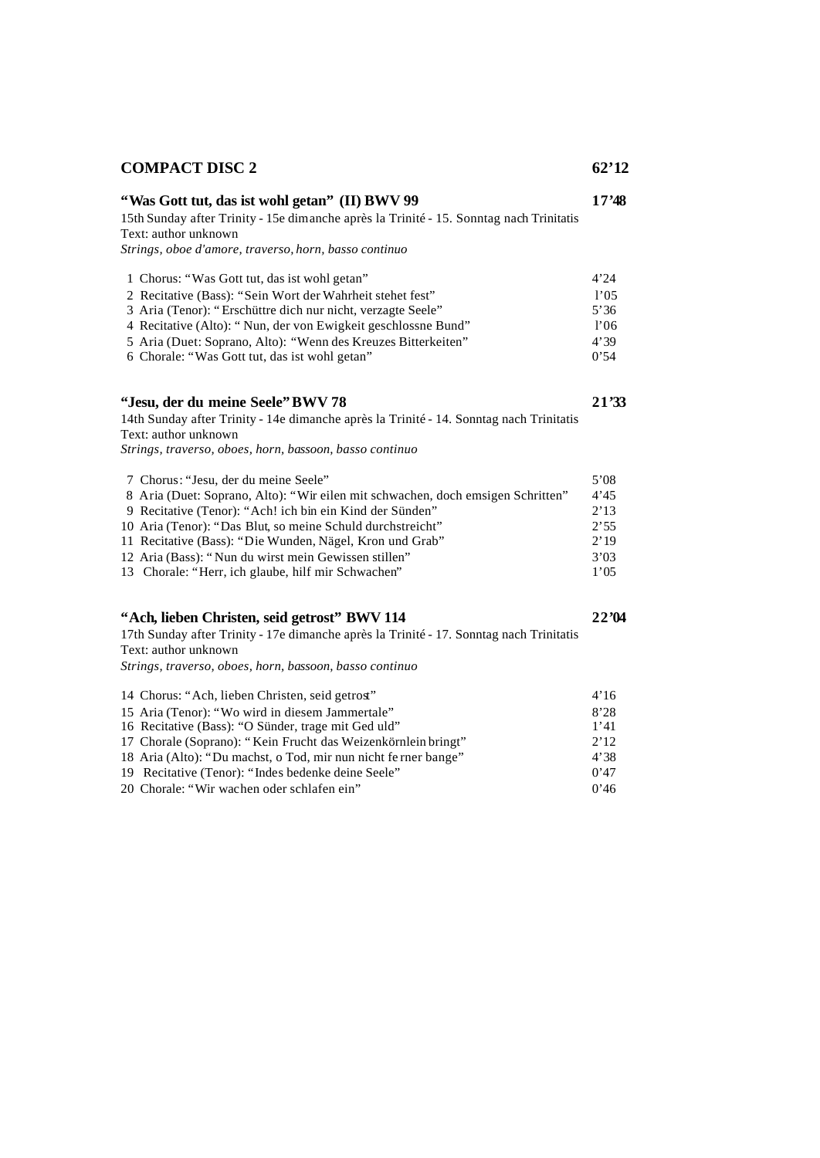# *Strings, oboe d'amore, traverso, horn, basso continuo* 1 Chorus: "Was Gott tut, das ist wohl getan" 4'24 2 Recitative (Bass): "Sein Wort der Wahrheit stehet fest" l'05<br>
3 Aria (Tenor): "Erschüttre dich nur nicht, verzagte Seele" 5'36 3 Aria (Tenor): "Erschüttre dich nur nicht, verzagte Seele" 4 Recitative (Alto): " Nun, der von Ewigkeit geschlossne Bund" l'06 5 Aria (Duet: Soprano, Alto): "Wenn des Kreuzes Bitterkeiten" 4'39<br>6 Chorale: "Was Gott tut, das ist wohl getan" 0'54 6 Chorale: "Was Gott tut, das ist wohl getan" **"Jesu, der du meine Seele" BWV 78 21'33** 14th Sunday after Trinity - 14e dimanche après la Trinité - 14. Sonntag nach Trinitatis Text: author unknown *Strings, traverso, oboes, horn, bassoon, basso continuo* 7 Chorus: "Jesu, der du meine Seele" 5'08 8 Aria (Duet: Soprano, Alto): "Wir eilen mit schwachen, doch emsigen Schritten" 4'45 9 Recitative (Tenor): "Ach! ich bin ein Kind der Sünden" 2'13 10 Aria (Tenor): "Das Blut, so meine Schuld durchstreicht" 2'55 11 Recitative (Bass): "Die Wunden, Nägel, Kron und Grab" 2'19 12 Aria (Bass): " Nun du wirst mein Gewissen stillen" 3'03 13 Chorale: "Herr, ich glaube, hilf mir Schwachen" 1'05 **"Ach, lieben Christen, seid getrost" BWV 114 22'04** 17th Sunday after Trinity - 17e dimanche après la Trinité - 17. Sonntag nach Trinitatis Text: author unknown *Strings, traverso, oboes, horn, bassoon, basso continuo* 14 Chorus: "Ach, lieben Christen, seid getrost" 4'16 15 Aria (Tenor): "Wo wird in diesem Jammertale" 8'28 16 Recitative (Bass): "O Sünder, trage mit Ged uld" 1'41

17 Chorale (Soprano): " Kein Frucht das Weizenkörnlein bringt" 2'12 18 Aria (Alto): "Du machst, o Tod, mir nun nicht fe rner bange" 4'38 19 Recitative (Tenor): "Indes bedenke deine Seele" 0'47 20 Chorale: "Wir wachen oder schlafen ein" 0'46

**COMPACT DISC 2 62'12**

**"Was Gott tut, das ist wohl getan" (II) BWV 99 17'48**

15th Sunday after Trinity - 15e dimanche après la Trinité - 15. Sonntag nach Trinitatis

Text: author unknown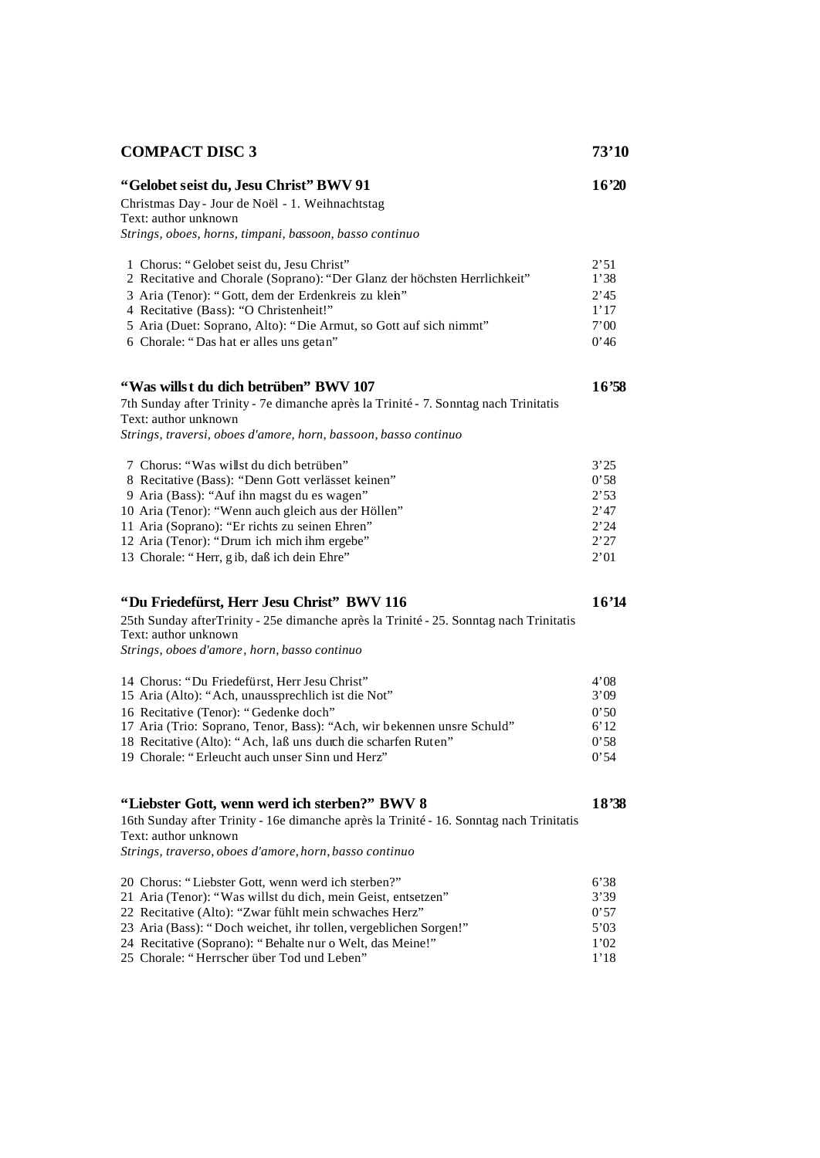| <b>COMPACT DISC 3</b>                                                                   | 73'10 |
|-----------------------------------------------------------------------------------------|-------|
| "Gelobet seist du, Jesu Christ" BWV 91                                                  | 16'20 |
| Christmas Day - Jour de Noël - 1. Weihnachtstag                                         |       |
| Text: author unknown                                                                    |       |
| Strings, oboes, horns, timpani, bassoon, basso continuo                                 |       |
| 1 Chorus: "Gelobet seist du, Jesu Christ"                                               | 2'51  |
| 2 Recitative and Chorale (Soprano): "Der Glanz der höchsten Herrlichkeit"               | 1'38  |
| 3 Aria (Tenor): "Gott, dem der Erdenkreis zu klen"                                      | 2'45  |
| 4 Recitative (Bass): "O Christenheit!"                                                  | 1'17  |
| 5 Aria (Duet: Soprano, Alto): "Die Armut, so Gott auf sich nimmt"                       | 7'00  |
| 6 Chorale: "Das hat er alles uns getan"                                                 | 0'46  |
| "Was willst du dich betrüben" BWV 107                                                   | 16'58 |
| 7th Sunday after Trinity - 7e dimanche après la Trinité - 7. Sonntag nach Trinitatis    |       |
| Text: author unknown                                                                    |       |
| Strings, traversi, oboes d'amore, horn, bassoon, basso continuo                         |       |
| 7 Chorus: "Was willst du dich betrüben"                                                 | 3'25  |
| 8 Recitative (Bass): "Denn Gott verlässet keinen"                                       | 0'58  |
| 9 Aria (Bass): "Auf ihn magst du es wagen"                                              | 2'53  |
| 10 Aria (Tenor): "Wenn auch gleich aus der Höllen"                                      | 2'47  |
| 11 Aria (Soprano): "Er richts zu seinen Ehren"                                          | 2'24  |
| 12 Aria (Tenor): "Drum ich mich ihm ergebe"                                             | 2'27  |
| 13 Chorale: "Herr, gib, daß ich dein Ehre"                                              | 2'01  |
| "Du Friedefürst, Herr Jesu Christ" BWV 116                                              | 16'14 |
| 25th Sunday afterTrinity - 25e dimanche après la Trinité - 25. Sonntag nach Trinitatis  |       |
| Text: author unknown                                                                    |       |
| Strings, oboes d'amore, horn, basso continuo                                            |       |
| 14 Chorus: "Du Friedefürst, Herr Jesu Christ"                                           | 4'08  |
| 15 Aria (Alto): "Ach, unaussprechlich ist die Not"                                      | 3'09  |
| 16 Recitative (Tenor): "Gedenke doch"                                                   | 0'50  |
| 17 Aria (Trio: Soprano, Tenor, Bass): "Ach, wir bekennen unsre Schuld"                  | 6'12  |
| 18 Recitative (Alto): "Ach, laß uns durch die scharfen Ruten"                           | 0'58  |
| 19 Chorale: "Erleucht auch unser Sinn und Herz"                                         | 0'54  |
| "Liebster Gott, wenn werd ich sterben?" BWV 8                                           | 18'38 |
|                                                                                         |       |
| 16th Sunday after Trinity - 16e dimanche après la Trinité - 16. Sonntag nach Trinitatis |       |
| Text: author unknown                                                                    |       |
| Strings, traverso, oboes d'amore, horn, basso continuo                                  |       |
| 20 Chorus: "Liebster Gott, wenn werd ich sterben?"                                      | 6'38  |
| 21 Aria (Tenor): "Was willst du dich, mein Geist, entsetzen"                            | 3'39  |
| 22 Recitative (Alto): "Zwar fühlt mein schwaches Herz"                                  | 0'57  |
| 23 Aria (Bass): "Doch weichet, ihr tollen, vergeblichen Sorgen!"                        | 5'03  |
| 24 Recitative (Soprano): "Behalte nur o Welt, das Meine!"                               | 1'02  |
| 25 Chorale: "Herrscher über Tod und Leben"                                              | 1'18  |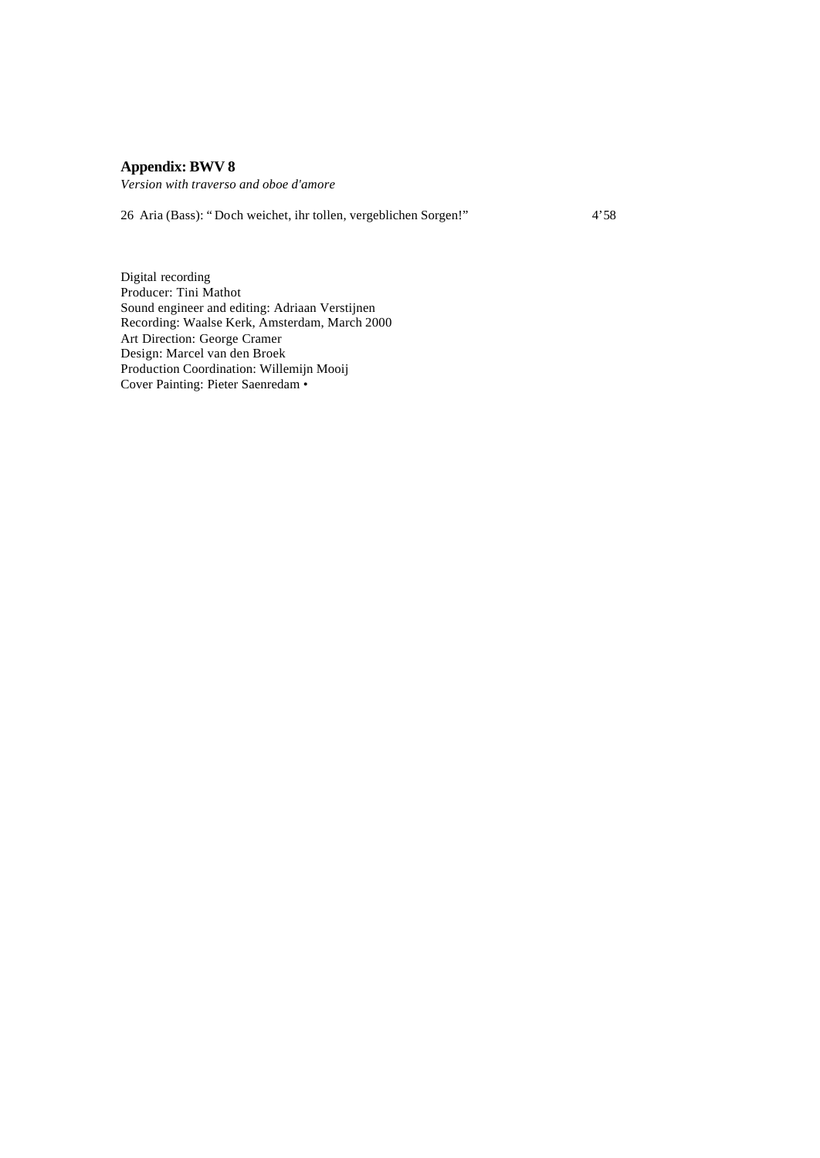# **Appendix: BWV 8**

*Version with traverso and oboe d'amore*

26 Aria (Bass): " Doch weichet, ihr tollen, vergeblichen Sorgen!" 4'58

Digital recording Producer: Tini Mathot Sound engineer and editing: Adriaan Verstijnen Recording: Waalse Kerk, Amsterdam, March 2000 Art Direction: George Cramer Design: Marcel van den Broek Production Coordination: Willemijn Mooij Cover Painting: Pieter Saenredam •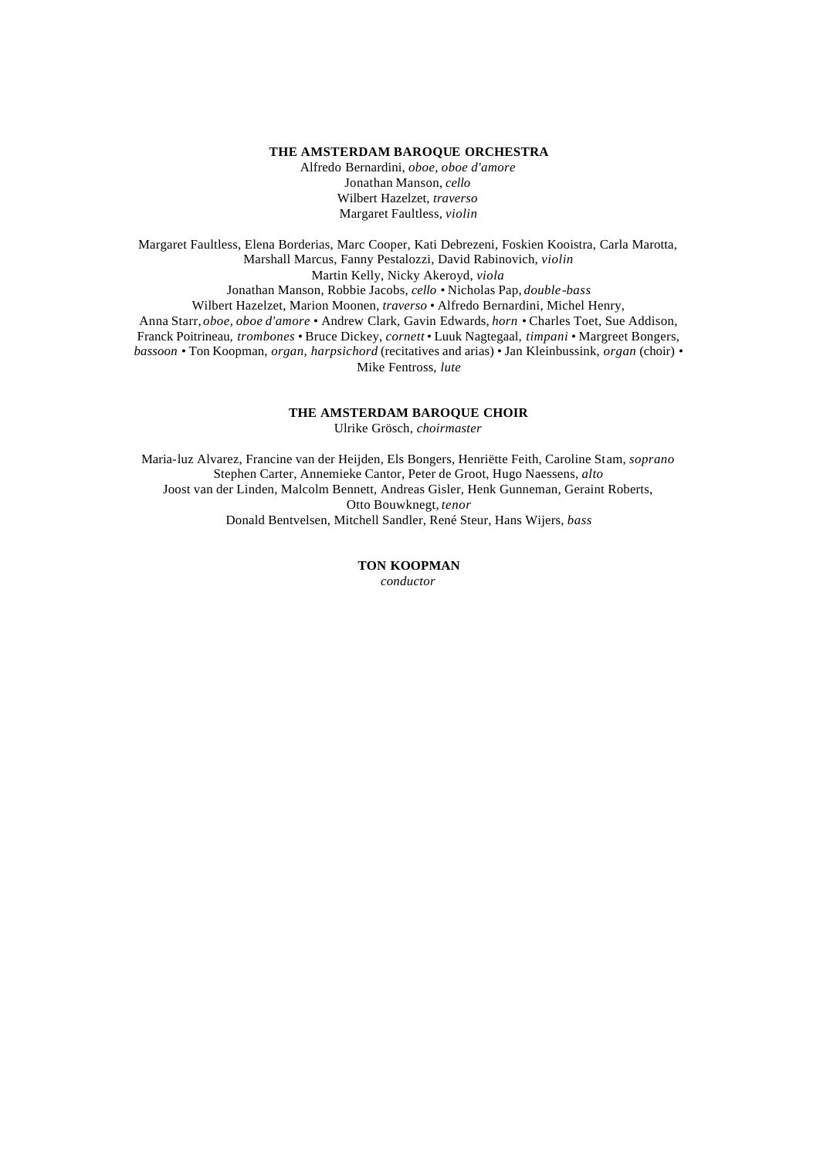#### **THE AMSTERDAM BAROQUE ORCHESTRA**

Alfredo Bernardini, *oboe, oboe d'amore* Jonathan Manson, *cello* Wilbert Hazelzet, *traverso* Margaret Faultless, *violin*

Margaret Faultless, Elena Borderias, Marc Cooper, Kati Debrezeni, Foskien Kooistra, Carla Marotta, Marshall Marcus, Fanny Pestalozzi, David Rabinovich, *violin* Martin Kelly, Nicky Akeroyd, *viola* Jonathan Manson, Robbie Jacobs, *cello* • Nicholas Pap, *double-bass* Wilbert Hazelzet, Marion Moonen, *traverso* • Alfredo Bernardini, Michel Henry, Anna Starr, *oboe, oboe d'amore* • Andrew Clark, Gavin Edwards, *horn* • Charles Toet, Sue Addison, Franck Poitrineau, *trombones* • Bruce Dickey, *cornett* • Luuk Nagtegaal, *timpani* • Margreet Bongers, *bassoon* • Ton Koopman, *organ, harpsichord* (recitatives and arias) • Jan Kleinbussink, *organ* (choir) • Mike Fentross, *lute*

#### **THE AMSTERDAM BAROQUE CHOIR**

Ulrike Grösch, *choirmaster*

Maria-luz Alvarez, Francine van der Heijden, Els Bongers, Henriëtte Feith, Caroline Stam, *soprano* Stephen Carter, Annemieke Cantor, Peter de Groot, Hugo Naessens, *alto* Joost van der Linden, Malcolm Bennett, Andreas Gisler, Henk Gunneman, Geraint Roberts, Otto Bouwknegt, *tenor* Donald Bentvelsen, Mitchell Sandler, René Steur, Hans Wijers, *bass*

# **TON KOOPMAN**

*conductor*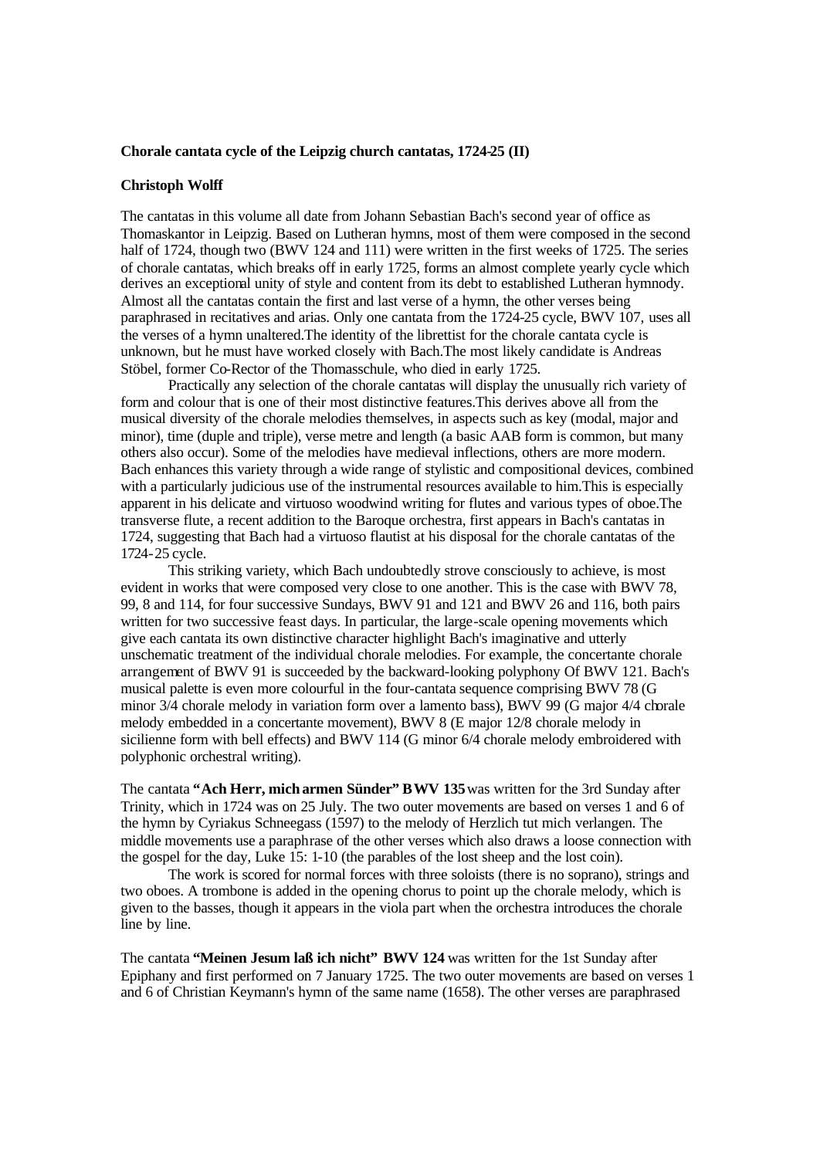#### **Chorale cantata cycle of the Leipzig church cantatas, 1724-25 (II)**

#### **Christoph Wolff**

The cantatas in this volume all date from Johann Sebastian Bach's second year of office as Thomaskantor in Leipzig. Based on Lutheran hymns, most of them were composed in the second half of 1724, though two (BWV 124 and 111) were written in the first weeks of 1725. The series of chorale cantatas, which breaks off in early 1725, forms an almost complete yearly cycle which derives an exceptional unity of style and content from its debt to established Lutheran hymnody. Almost all the cantatas contain the first and last verse of a hymn, the other verses being paraphrased in recitatives and arias. Only one cantata from the 1724-25 cycle, BWV 107, uses all the verses of a hymn unaltered.The identity of the librettist for the chorale cantata cycle is unknown, but he must have worked closely with Bach.The most likely candidate is Andreas Stöbel, former Co-Rector of the Thomasschule, who died in early 1725.

Practically any selection of the chorale cantatas will display the unusually rich variety of form and colour that is one of their most distinctive features.This derives above all from the musical diversity of the chorale melodies themselves, in aspects such as key (modal, major and minor), time (duple and triple), verse metre and length (a basic AAB form is common, but many others also occur). Some of the melodies have medieval inflections, others are more modern. Bach enhances this variety through a wide range of stylistic and compositional devices, combined with a particularly judicious use of the instrumental resources available to him. This is especially apparent in his delicate and virtuoso woodwind writing for flutes and various types of oboe.The transverse flute, a recent addition to the Baroque orchestra, first appears in Bach's cantatas in 1724, suggesting that Bach had a virtuoso flautist at his disposal for the chorale cantatas of the 1724-25 cycle.

This striking variety, which Bach undoubtedly strove consciously to achieve, is most evident in works that were composed very close to one another. This is the case with BWV 78, 99, 8 and 114, for four successive Sundays, BWV 91 and 121 and BWV 26 and 116, both pairs written for two successive feast days. In particular, the large-scale opening movements which give each cantata its own distinctive character highlight Bach's imaginative and utterly unschematic treatment of the individual chorale melodies. For example, the concertante chorale arrangement of BWV 91 is succeeded by the backward-looking polyphony Of BWV 121. Bach's musical palette is even more colourful in the four-cantata sequence comprising BWV 78 (G minor 3/4 chorale melody in variation form over a lamento bass), BWV 99 (G major 4/4 chorale melody embedded in a concertante movement), BWV 8 (E major 12/8 chorale melody in sicilienne form with bell effects) and BWV 114 (G minor 6/4 chorale melody embroidered with polyphonic orchestral writing).

The cantata **"Ach Herr, mich armen Sünder" BWV 135** was written for the 3rd Sunday after Trinity, which in 1724 was on 25 July. The two outer movements are based on verses 1 and 6 of the hymn by Cyriakus Schneegass (1597) to the melody of Herzlich tut mich verlangen. The middle movements use a paraphrase of the other verses which also draws a loose connection with the gospel for the day, Luke 15: 1-10 (the parables of the lost sheep and the lost coin).

The work is scored for normal forces with three soloists (there is no soprano), strings and two oboes. A trombone is added in the opening chorus to point up the chorale melody, which is given to the basses, though it appears in the viola part when the orchestra introduces the chorale line by line.

The cantata **"Meinen Jesum laß ich nicht" BWV 124** was written for the 1st Sunday after Epiphany and first performed on 7 January 1725. The two outer movements are based on verses 1 and 6 of Christian Keymann's hymn of the same name (1658). The other verses are paraphrased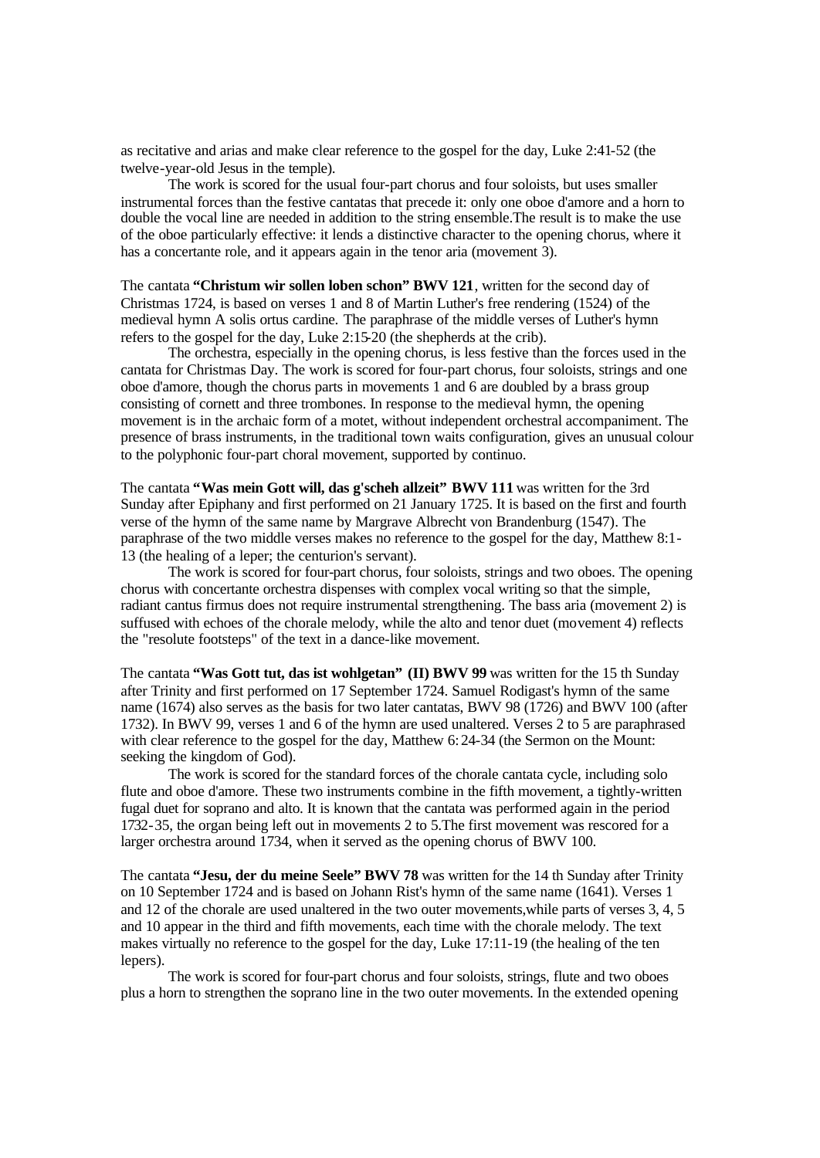as recitative and arias and make clear reference to the gospel for the day, Luke 2:41-52 (the twelve-year-old Jesus in the temple).

The work is scored for the usual four-part chorus and four soloists, but uses smaller instrumental forces than the festive cantatas that precede it: only one oboe d'amore and a horn to double the vocal line are needed in addition to the string ensemble.The result is to make the use of the oboe particularly effective: it lends a distinctive character to the opening chorus, where it has a concertante role, and it appears again in the tenor aria (movement 3).

The cantata **"Christum wir sollen loben schon" BWV 121**, written for the second day of Christmas 1724, is based on verses 1 and 8 of Martin Luther's free rendering (1524) of the medieval hymn A solis ortus cardine. The paraphrase of the middle verses of Luther's hymn refers to the gospel for the day, Luke 2:15-20 (the shepherds at the crib).

The orchestra, especially in the opening chorus, is less festive than the forces used in the cantata for Christmas Day. The work is scored for four-part chorus, four soloists, strings and one oboe d'amore, though the chorus parts in movements 1 and 6 are doubled by a brass group consisting of cornett and three trombones. In response to the medieval hymn, the opening movement is in the archaic form of a motet, without independent orchestral accompaniment. The presence of brass instruments, in the traditional town waits configuration, gives an unusual colour to the polyphonic four-part choral movement, supported by continuo.

The cantata **"Was mein Gott will, das g'scheh allzeit" BWV 111** was written for the 3rd Sunday after Epiphany and first performed on 21 January 1725. It is based on the first and fourth verse of the hymn of the same name by Margrave Albrecht von Brandenburg (1547). The paraphrase of the two middle verses makes no reference to the gospel for the day, Matthew 8:1- 13 (the healing of a leper; the centurion's servant).

The work is scored for four-part chorus, four soloists, strings and two oboes. The opening chorus with concertante orchestra dispenses with complex vocal writing so that the simple, radiant cantus firmus does not require instrumental strengthening. The bass aria (movement 2) is suffused with echoes of the chorale melody, while the alto and tenor duet (movement 4) reflects the "resolute footsteps" of the text in a dance-like movement.

The cantata **"Was Gott tut, das ist wohlgetan" (II) BWV 99** was written for the 15 th Sunday after Trinity and first performed on 17 September 1724. Samuel Rodigast's hymn of the same name (1674) also serves as the basis for two later cantatas, BWV 98 (1726) and BWV 100 (after 1732). In BWV 99, verses 1 and 6 of the hymn are used unaltered. Verses 2 to 5 are paraphrased with clear reference to the gospel for the day, Matthew 6: 24-34 (the Sermon on the Mount: seeking the kingdom of God).

The work is scored for the standard forces of the chorale cantata cycle, including solo flute and oboe d'amore. These two instruments combine in the fifth movement, a tightly-written fugal duet for soprano and alto. It is known that the cantata was performed again in the period 1732-35, the organ being left out in movements 2 to 5.The first movement was rescored for a larger orchestra around 1734, when it served as the opening chorus of BWV 100.

The cantata **"Jesu, der du meine Seele" BWV 78** was written for the 14 th Sunday after Trinity on 10 September 1724 and is based on Johann Rist's hymn of the same name (1641). Verses 1 and 12 of the chorale are used unaltered in the two outer movements,while parts of verses 3, 4, 5 and 10 appear in the third and fifth movements, each time with the chorale melody. The text makes virtually no reference to the gospel for the day, Luke 17:11-19 (the healing of the ten lepers).

The work is scored for four-part chorus and four soloists, strings, flute and two oboes plus a horn to strengthen the soprano line in the two outer movements. In the extended opening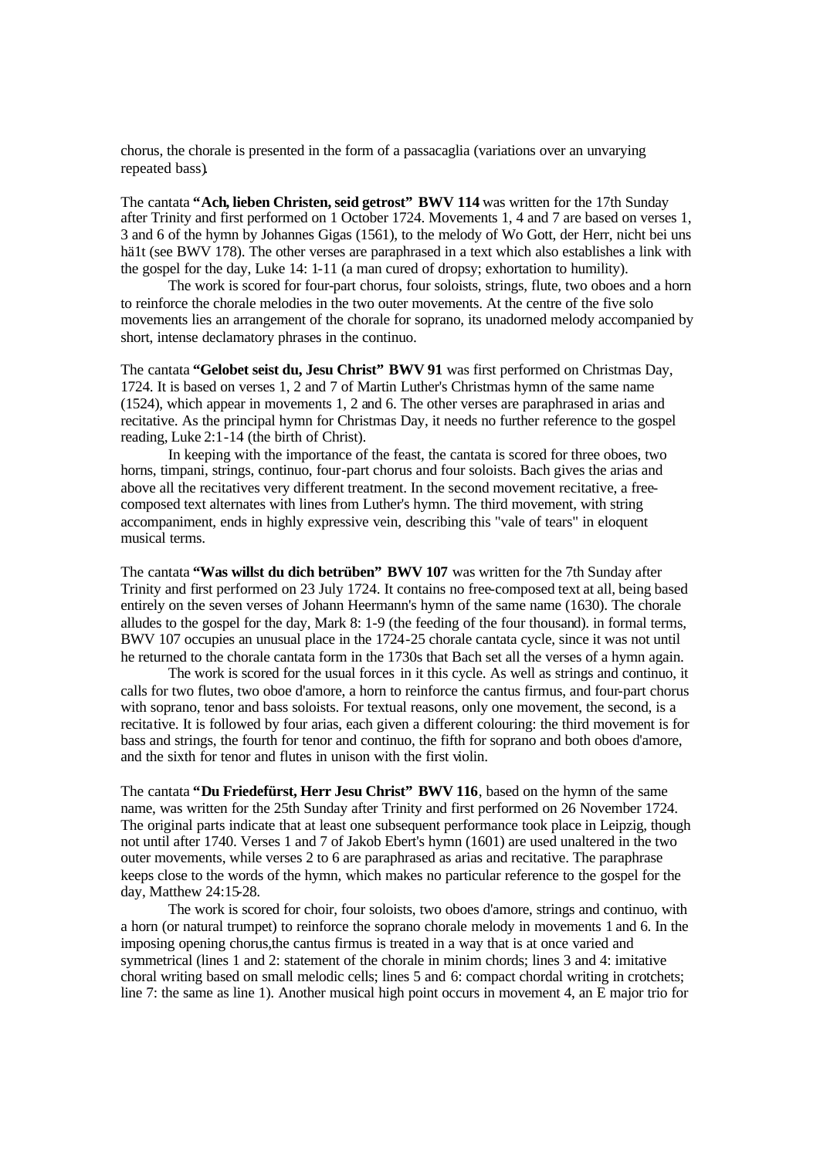chorus, the chorale is presented in the form of a passacaglia (variations over an unvarying repeated bass).

The cantata **"Ach, lieben Christen, seid getrost" BWV 114** was written for the 17th Sunday after Trinity and first performed on 1 October 1724. Movements 1, 4 and 7 are based on verses 1, 3 and 6 of the hymn by Johannes Gigas (1561), to the melody of Wo Gott, der Herr, nicht bei uns hä1t (see BWV 178). The other verses are paraphrased in a text which also establishes a link with the gospel for the day, Luke 14: 1-11 (a man cured of dropsy; exhortation to humility).

The work is scored for four-part chorus, four soloists, strings, flute, two oboes and a horn to reinforce the chorale melodies in the two outer movements. At the centre of the five solo movements lies an arrangement of the chorale for soprano, its unadorned melody accompanied by short, intense declamatory phrases in the continuo.

The cantata **"Gelobet seist du, Jesu Christ" BWV 91** was first performed on Christmas Day, 1724. It is based on verses 1, 2 and 7 of Martin Luther's Christmas hymn of the same name (1524), which appear in movements 1, 2 and 6. The other verses are paraphrased in arias and recitative. As the principal hymn for Christmas Day, it needs no further reference to the gospel reading, Luke 2:1-14 (the birth of Christ).

In keeping with the importance of the feast, the cantata is scored for three oboes, two horns, timpani, strings, continuo, four-part chorus and four soloists. Bach gives the arias and above all the recitatives very different treatment. In the second movement recitative, a freecomposed text alternates with lines from Luther's hymn. The third movement, with string accompaniment, ends in highly expressive vein, describing this "vale of tears" in eloquent musical terms.

The cantata **"Was willst du dich betrüben" BWV 107** was written for the 7th Sunday after Trinity and first performed on 23 July 1724. It contains no free-composed text at all, being based entirely on the seven verses of Johann Heermann's hymn of the same name (1630). The chorale alludes to the gospel for the day, Mark 8: 1-9 (the feeding of the four thousand). in formal terms, BWV 107 occupies an unusual place in the 1724-25 chorale cantata cycle, since it was not until he returned to the chorale cantata form in the 1730s that Bach set all the verses of a hymn again.

The work is scored for the usual forces in it this cycle. As well as strings and continuo, it calls for two flutes, two oboe d'amore, a horn to reinforce the cantus firmus, and four-part chorus with soprano, tenor and bass soloists. For textual reasons, only one movement, the second, is a recitative. It is followed by four arias, each given a different colouring: the third movement is for bass and strings, the fourth for tenor and continuo, the fifth for soprano and both oboes d'amore, and the sixth for tenor and flutes in unison with the first violin.

The cantata **"Du Friedefürst, Herr Jesu Christ" BWV 116**, based on the hymn of the same name, was written for the 25th Sunday after Trinity and first performed on 26 November 1724. The original parts indicate that at least one subsequent performance took place in Leipzig, though not until after 1740. Verses 1 and 7 of Jakob Ebert's hymn (1601) are used unaltered in the two outer movements, while verses 2 to 6 are paraphrased as arias and recitative. The paraphrase keeps close to the words of the hymn, which makes no particular reference to the gospel for the day, Matthew 24:15-28.

The work is scored for choir, four soloists, two oboes d'amore, strings and continuo, with a horn (or natural trumpet) to reinforce the soprano chorale melody in movements 1 and 6. In the imposing opening chorus,the cantus firmus is treated in a way that is at once varied and symmetrical (lines 1 and 2: statement of the chorale in minim chords; lines 3 and 4: imitative choral writing based on small melodic cells; lines 5 and 6: compact chordal writing in crotchets; line 7: the same as line 1). Another musical high point occurs in movement 4, an E major trio for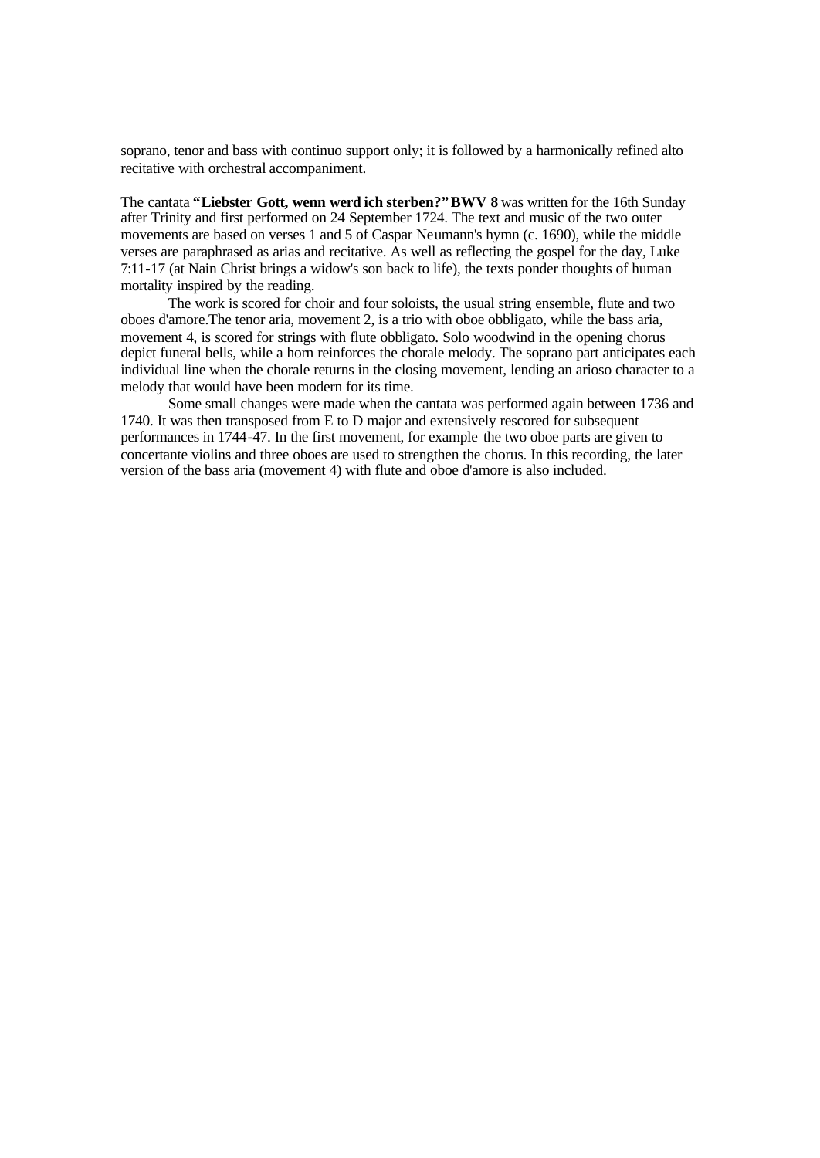soprano, tenor and bass with continuo support only; it is followed by a harmonically refined alto recitative with orchestral accompaniment.

The cantata **"Liebster Gott, wenn werd ich sterben?"BWV 8** was written for the 16th Sunday after Trinity and first performed on 24 September 1724. The text and music of the two outer movements are based on verses 1 and 5 of Caspar Neumann's hymn (c. 1690), while the middle verses are paraphrased as arias and recitative. As well as reflecting the gospel for the day, Luke 7:11-17 (at Nain Christ brings a widow's son back to life), the texts ponder thoughts of human mortality inspired by the reading.

The work is scored for choir and four soloists, the usual string ensemble, flute and two oboes d'amore.The tenor aria, movement 2, is a trio with oboe obbligato, while the bass aria, movement 4, is scored for strings with flute obbligato. Solo woodwind in the opening chorus depict funeral bells, while a horn reinforces the chorale melody. The soprano part anticipates each individual line when the chorale returns in the closing movement, lending an arioso character to a melody that would have been modern for its time.

Some small changes were made when the cantata was performed again between 1736 and 1740. It was then transposed from E to D major and extensively rescored for subsequent performances in 1744-47. In the first movement, for example the two oboe parts are given to concertante violins and three oboes are used to strengthen the chorus. In this recording, the later version of the bass aria (movement 4) with flute and oboe d'amore is also included.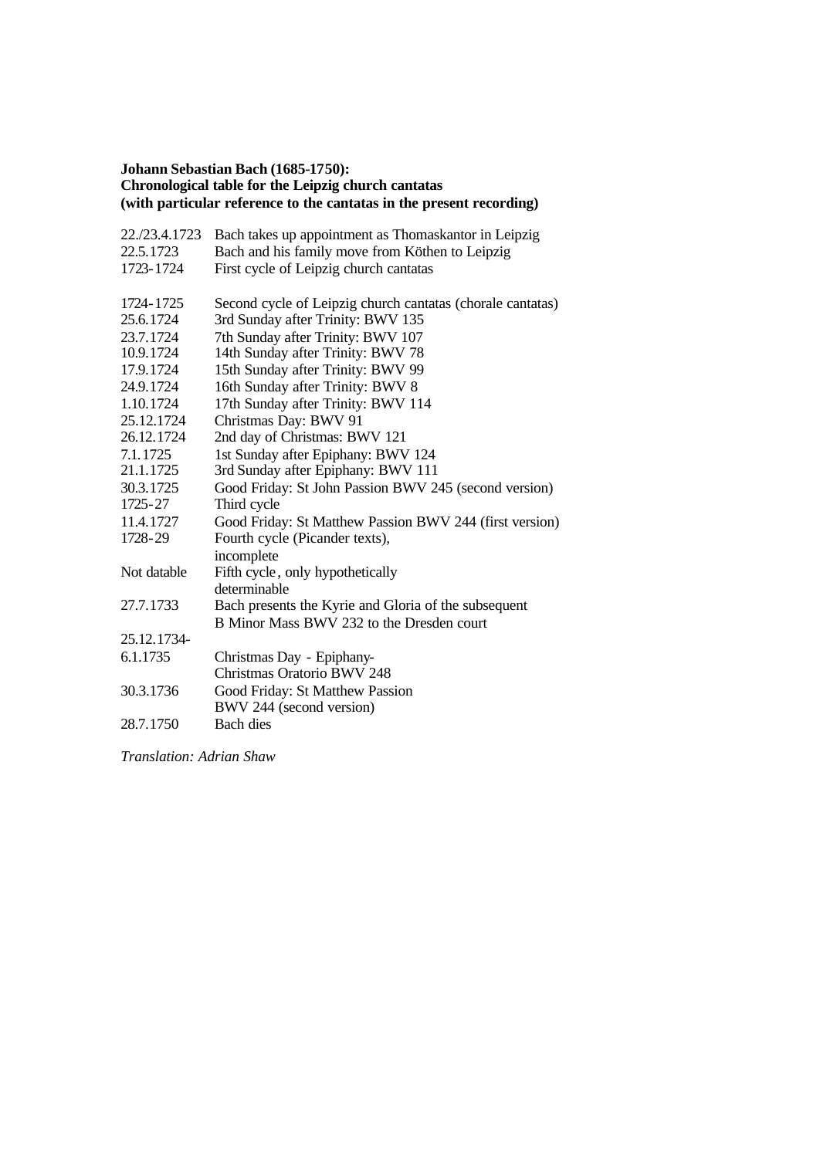## **Johann Sebastian Bach (1685-1750): Chronological table for the Leipzig church cantatas (with particular reference to the cantatas in the present recording)**

| 22./23.4.1723 | Bach takes up appointment as Thomaskantor in Leipzig       |
|---------------|------------------------------------------------------------|
| 22.5.1723     | Bach and his family move from Köthen to Leipzig            |
| 1723-1724     | First cycle of Leipzig church cantatas                     |
| 1724-1725     | Second cycle of Leipzig church cantatas (chorale cantatas) |
| 25.6.1724     | 3rd Sunday after Trinity: BWV 135                          |
| 23.7.1724     | 7th Sunday after Trinity: BWV 107                          |
| 10.9.1724     | 14th Sunday after Trinity: BWV 78                          |
| 17.9.1724     | 15th Sunday after Trinity: BWV 99                          |
| 24.9.1724     | 16th Sunday after Trinity: BWV 8                           |
| 1.10.1724     | 17th Sunday after Trinity: BWV 114                         |
| 25.12.1724    | Christmas Day: BWV 91                                      |
| 26.12.1724    | 2nd day of Christmas: BWV 121                              |
| 7.1.1725      | 1st Sunday after Epiphany: BWV 124                         |
| 21.1.1725     | 3rd Sunday after Epiphany: BWV 111                         |
| 30.3.1725     | Good Friday: St John Passion BWV 245 (second version)      |
| 1725-27       | Third cycle                                                |
| 11.4.1727     | Good Friday: St Matthew Passion BWV 244 (first version)    |
| 1728-29       | Fourth cycle (Picander texts),                             |
|               | incomplete                                                 |
| Not datable   | Fifth cycle, only hypothetically                           |
|               | determinable                                               |
| 27.7.1733     | Bach presents the Kyrie and Gloria of the subsequent       |
|               | B Minor Mass BWV 232 to the Dresden court                  |
| 25.12.1734-   |                                                            |
| 6.1.1735      | Christmas Day - Epiphany-                                  |
|               | Christmas Oratorio BWV 248                                 |
| 30.3.1736     | Good Friday: St Matthew Passion                            |
|               | BWV 244 (second version)                                   |
| 28.7.1750     | Bach dies                                                  |

*Translation: Adrian Shaw*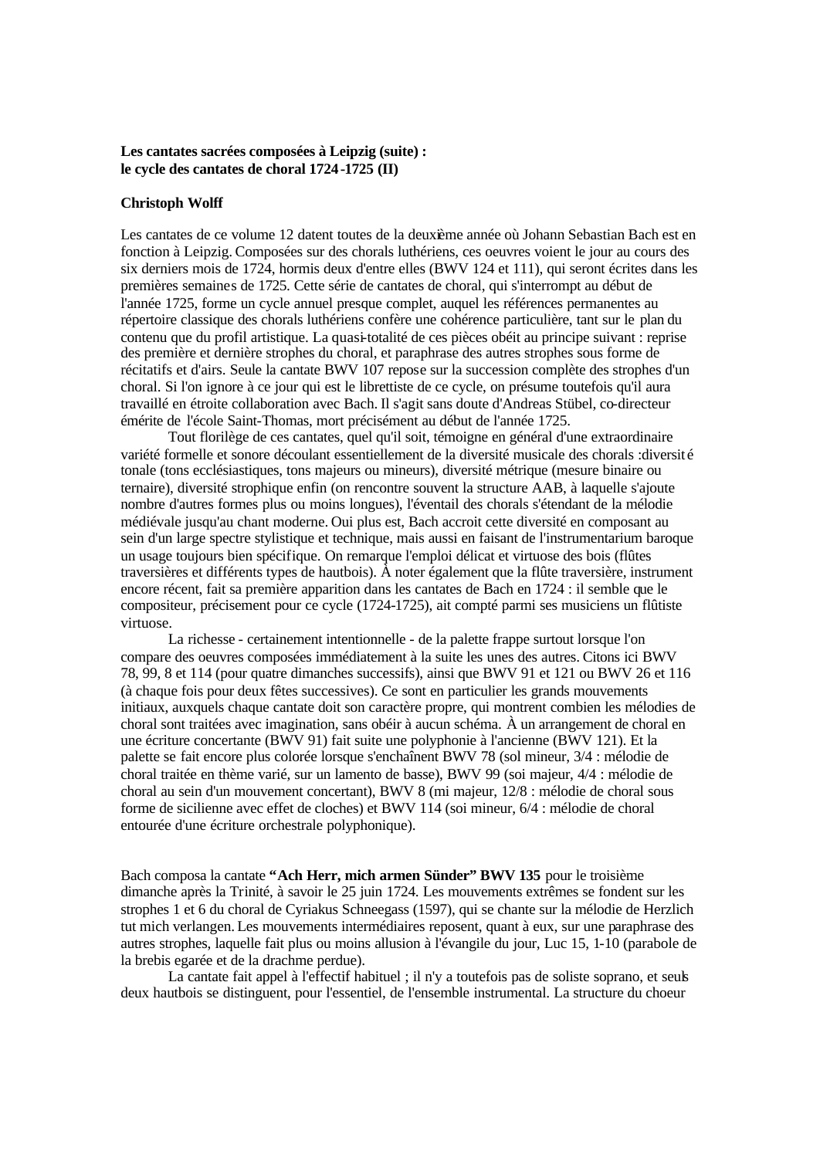## **Les cantates sacrées composées à Leipzig (suite) : le cycle des cantates de choral 1724 -1725 (II)**

### **Christoph Wolff**

Les cantates de ce volume 12 datent toutes de la deuxième année où Johann Sebastian Bach est en fonction à Leipzig. Composées sur des chorals luthériens, ces oeuvres voient le jour au cours des six derniers mois de 1724, hormis deux d'entre elles (BWV 124 et 111), qui seront écrites dans les premières semaines de 1725. Cette série de cantates de choral, qui s'interrompt au début de l'année 1725, forme un cycle annuel presque complet, auquel les références permanentes au répertoire classique des chorals luthériens confère une cohérence particulière, tant sur le plan du contenu que du profil artistique. La quasi-totalité de ces pièces obéit au principe suivant : reprise des première et dernière strophes du choral, et paraphrase des autres strophes sous forme de récitatifs et d'airs. Seule la cantate BWV 107 repose sur la succession complète des strophes d'un choral. Si l'on ignore à ce jour qui est le librettiste de ce cycle, on présume toutefois qu'il aura travaillé en étroite collaboration avec Bach. Il s'agit sans doute d'Andreas Stübel, co-directeur émérite de l'école Saint-Thomas, mort précisément au début de l'année 1725.

Tout florilège de ces cantates, quel qu'il soit, témoigne en général d'une extraordinaire variété formelle et sonore découlant essentiellement de la diversité musicale des chorals :diversit é tonale (tons ecclésiastiques, tons majeurs ou mineurs), diversité métrique (mesure binaire ou ternaire), diversité strophique enfin (on rencontre souvent la structure AAB, à laquelle s'ajoute nombre d'autres formes plus ou moins longues), l'éventail des chorals s'étendant de la mélodie médiévale jusqu'au chant moderne. Oui plus est, Bach accroit cette diversité en composant au sein d'un large spectre stylistique et technique, mais aussi en faisant de l'instrumentarium baroque un usage toujours bien spécifique. On remarque l'emploi délicat et virtuose des bois (flûtes traversières et différents types de hautbois). À noter également que la flûte traversière, instrument encore récent, fait sa première apparition dans les cantates de Bach en 1724 : il semble que le compositeur, précisement pour ce cycle (1724-1725), ait compté parmi ses musiciens un flûtiste virtuose.

La richesse - certainement intentionnelle - de la palette frappe surtout lorsque l'on compare des oeuvres composées immédiatement à la suite les unes des autres. Citons ici BWV 78, 99, 8 et 114 (pour quatre dimanches successifs), ainsi que BWV 91 et 121 ou BWV 26 et 116 (à chaque fois pour deux fêtes successives). Ce sont en particulier les grands mouvements initiaux, auxquels chaque cantate doit son caractère propre, qui montrent combien les mélodies de choral sont traitées avec imagination, sans obéir à aucun schéma. À un arrangement de choral en une écriture concertante (BWV 91) fait suite une polyphonie à l'ancienne (BWV 121). Et la palette se fait encore plus colorée lorsque s'enchaînent BWV 78 (sol mineur, 3/4 : mélodie de choral traitée en thème varié, sur un lamento de basse), BWV 99 (soi majeur, 4/4 : mélodie de choral au sein d'un mouvement concertant), BWV 8 (mi majeur, 12/8 : mélodie de choral sous forme de sicilienne avec effet de cloches) et BWV 114 (soi mineur, 6/4 : mélodie de choral entourée d'une écriture orchestrale polyphonique).

Bach composa la cantate **"Ach Herr, mich armen Sünder" BWV 135** pour le troisième dimanche après la Trinité, à savoir le 25 juin 1724. Les mouvements extrêmes se fondent sur les strophes 1 et 6 du choral de Cyriakus Schneegass (1597), qui se chante sur la mélodie de Herzlich tut mich verlangen. Les mouvements intermédiaires reposent, quant à eux, sur une paraphrase des autres strophes, laquelle fait plus ou moins allusion à l'évangile du jour, Luc 15, 1-10 (parabole de la brebis egarée et de la drachme perdue).

La cantate fait appel à l'effectif habituel ; il n'y a toutefois pas de soliste soprano, et seuls deux hautbois se distinguent, pour l'essentiel, de l'ensemble instrumental. La structure du choeur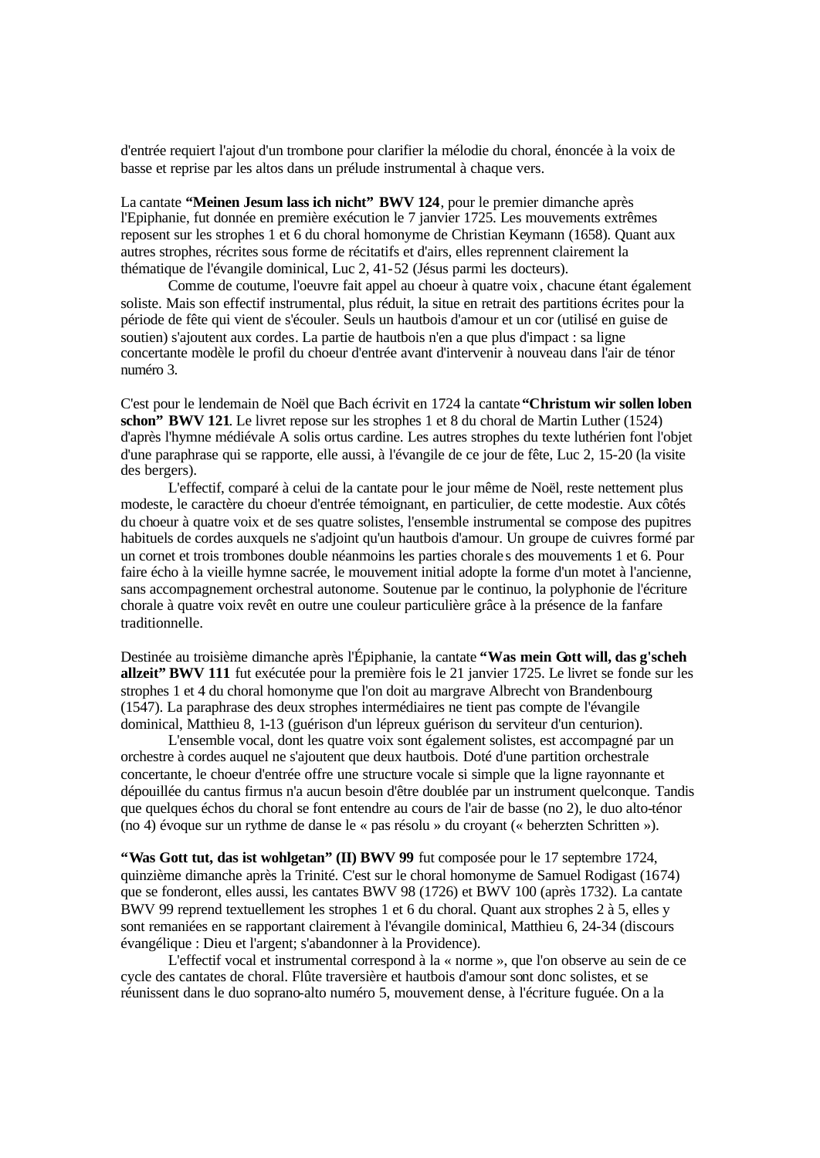d'entrée requiert l'ajout d'un trombone pour clarifier la mélodie du choral, énoncée à la voix de basse et reprise par les altos dans un prélude instrumental à chaque vers.

La cantate **"Meinen Jesum lass ich nicht" BWV 124**, pour le premier dimanche après l'Epiphanie, fut donnée en première exécution le 7 janvier 1725. Les mouvements extrêmes reposent sur les strophes 1 et 6 du choral homonyme de Christian Keymann (1658). Quant aux autres strophes, récrites sous forme de récitatifs et d'airs, elles reprennent clairement la thématique de l'évangile dominical, Luc 2, 41-52 (Jésus parmi les docteurs).

Comme de coutume, l'oeuvre fait appel au choeur à quatre voix, chacune étant également soliste. Mais son effectif instrumental, plus réduit, la situe en retrait des partitions écrites pour la période de fête qui vient de s'écouler. Seuls un hautbois d'amour et un cor (utilisé en guise de soutien) s'ajoutent aux cordes. La partie de hautbois n'en a que plus d'impact : sa ligne concertante modèle le profil du choeur d'entrée avant d'intervenir à nouveau dans l'air de ténor numéro 3.

C'est pour le lendemain de Noël que Bach écrivit en 1724 la cantate **"Christum wir sollen loben schon" BWV 121**. Le livret repose sur les strophes 1 et 8 du choral de Martin Luther (1524) d'après l'hymne médiévale A solis ortus cardine. Les autres strophes du texte luthérien font l'objet d'une paraphrase qui se rapporte, elle aussi, à l'évangile de ce jour de fête, Luc 2, 15-20 (la visite des bergers).

L'effectif, comparé à celui de la cantate pour le jour même de Noël, reste nettement plus modeste, le caractère du choeur d'entrée témoignant, en particulier, de cette modestie. Aux côtés du choeur à quatre voix et de ses quatre solistes, l'ensemble instrumental se compose des pupitres habituels de cordes auxquels ne s'adjoint qu'un hautbois d'amour. Un groupe de cuivres formé par un cornet et trois trombones double néanmoins les parties chorale s des mouvements 1 et 6. Pour faire écho à la vieille hymne sacrée, le mouvement initial adopte la forme d'un motet à l'ancienne, sans accompagnement orchestral autonome. Soutenue par le continuo, la polyphonie de l'écriture chorale à quatre voix revêt en outre une couleur particulière grâce à la présence de la fanfare traditionnelle.

Destinée au troisième dimanche après l'Épiphanie, la cantate **"Was mein Gott will, das g'scheh allzeit" BWV 111** fut exécutée pour la première fois le 21 janvier 1725. Le livret se fonde sur les strophes 1 et 4 du choral homonyme que l'on doit au margrave Albrecht von Brandenbourg (1547). La paraphrase des deux strophes intermédiaires ne tient pas compte de l'évangile dominical, Matthieu 8, 1-13 (guérison d'un lépreux guérison du serviteur d'un centurion).

L'ensemble vocal, dont les quatre voix sont également solistes, est accompagné par un orchestre à cordes auquel ne s'ajoutent que deux hautbois. Doté d'une partition orchestrale concertante, le choeur d'entrée offre une structure vocale si simple que la ligne rayonnante et dépouillée du cantus firmus n'a aucun besoin d'être doublée par un instrument quelconque. Tandis que quelques échos du choral se font entendre au cours de l'air de basse (no 2), le duo alto-ténor (no 4) évoque sur un rythme de danse le « pas résolu » du croyant (« beherzten Schritten »).

**"Was Gott tut, das ist wohlgetan" (II) BWV 99** fut composée pour le 17 septembre 1724, quinzième dimanche après la Trinité. C'est sur le choral homonyme de Samuel Rodigast (1674) que se fonderont, elles aussi, les cantates BWV 98 (1726) et BWV 100 (après 1732). La cantate BWV 99 reprend textuellement les strophes 1 et 6 du choral. Quant aux strophes 2 à 5, elles y sont remaniées en se rapportant clairement à l'évangile dominical, Matthieu 6, 24-34 (discours évangélique : Dieu et l'argent; s'abandonner à la Providence).

L'effectif vocal et instrumental correspond à la « norme », que l'on observe au sein de ce cycle des cantates de choral. Flûte traversière et hautbois d'amour sont donc solistes, et se réunissent dans le duo soprano-alto numéro 5, mouvement dense, à l'écriture fuguée. On a la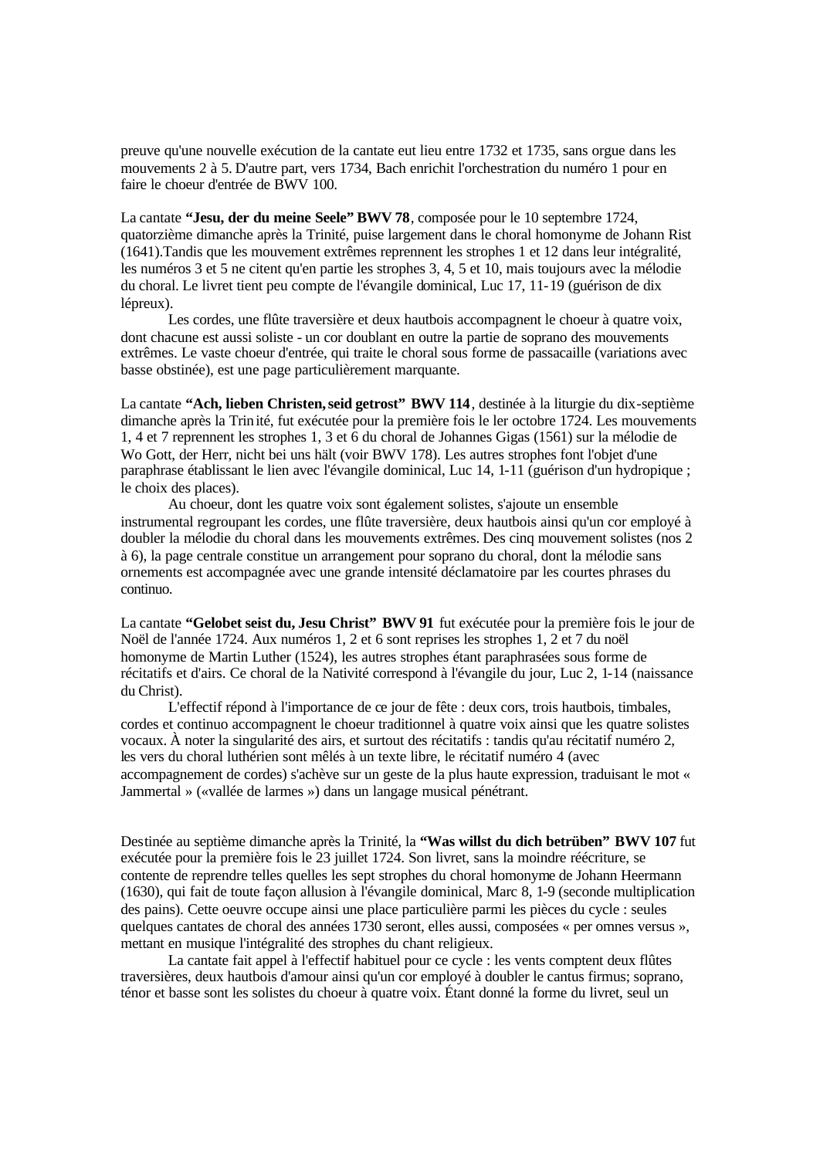preuve qu'une nouvelle exécution de la cantate eut lieu entre 1732 et 1735, sans orgue dans les mouvements 2 à 5. D'autre part, vers 1734, Bach enrichit l'orchestration du numéro 1 pour en faire le choeur d'entrée de BWV 100.

La cantate **"Jesu, der du meine Seele" BWV 78**, composée pour le 10 septembre 1724, quatorzième dimanche après la Trinité, puise largement dans le choral homonyme de Johann Rist (1641).Tandis que les mouvement extrêmes reprennent les strophes 1 et 12 dans leur intégralité, les numéros 3 et 5 ne citent qu'en partie les strophes 3, 4, 5 et 10, mais toujours avec la mélodie du choral. Le livret tient peu compte de l'évangile dominical, Luc 17, 11-19 (guérison de dix lépreux).

Les cordes, une flûte traversière et deux hautbois accompagnent le choeur à quatre voix, dont chacune est aussi soliste - un cor doublant en outre la partie de soprano des mouvements extrêmes. Le vaste choeur d'entrée, qui traite le choral sous forme de passacaille (variations avec basse obstinée), est une page particulièrement marquante.

La cantate **"Ach, lieben Christen, seid getrost" BWV 114**, destinée à la liturgie du dix-septième dimanche après la Trinité, fut exécutée pour la première fois le ler octobre 1724. Les mouvements 1, 4 et 7 reprennent les strophes 1, 3 et 6 du choral de Johannes Gigas (1561) sur la mélodie de Wo Gott, der Herr, nicht bei uns hält (voir BWV 178). Les autres strophes font l'objet d'une paraphrase établissant le lien avec l'évangile dominical, Luc 14, 1-11 (guérison d'un hydropique ; le choix des places).

Au choeur, dont les quatre voix sont également solistes, s'ajoute un ensemble instrumental regroupant les cordes, une flûte traversière, deux hautbois ainsi qu'un cor employé à doubler la mélodie du choral dans les mouvements extrêmes. Des cinq mouvement solistes (nos 2 à 6), la page centrale constitue un arrangement pour soprano du choral, dont la mélodie sans ornements est accompagnée avec une grande intensité déclamatoire par les courtes phrases du continuo.

La cantate **"Gelobet seist du, Jesu Christ" BWV 91** fut exécutée pour la première fois le jour de Noël de l'année 1724. Aux numéros 1, 2 et 6 sont reprises les strophes 1, 2 et 7 du noël homonyme de Martin Luther (1524), les autres strophes étant paraphrasées sous forme de récitatifs et d'airs. Ce choral de la Nativité correspond à l'évangile du jour, Luc 2, 1-14 (naissance du Christ).

L'effectif répond à l'importance de ce jour de fête : deux cors, trois hautbois, timbales, cordes et continuo accompagnent le choeur traditionnel à quatre voix ainsi que les quatre solistes vocaux. À noter la singularité des airs, et surtout des récitatifs : tandis qu'au récitatif numéro 2, les vers du choral luthérien sont mêlés à un texte libre, le récitatif numéro 4 (avec accompagnement de cordes) s'achève sur un geste de la plus haute expression, traduisant le mot « Jammertal » («vallée de larmes ») dans un langage musical pénétrant.

Destinée au septième dimanche après la Trinité, la **"Was willst du dich betrüben" BWV 107** fut exécutée pour la première fois le 23 juillet 1724. Son livret, sans la moindre réécriture, se contente de reprendre telles quelles les sept strophes du choral homonyme de Johann Heermann (1630), qui fait de toute façon allusion à l'évangile dominical, Marc 8, 1-9 (seconde multiplication des pains). Cette oeuvre occupe ainsi une place particulière parmi les pièces du cycle : seules quelques cantates de choral des années 1730 seront, elles aussi, composées « per omnes versus », mettant en musique l'intégralité des strophes du chant religieux.

La cantate fait appel à l'effectif habituel pour ce cycle : les vents comptent deux flûtes traversières, deux hautbois d'amour ainsi qu'un cor employé à doubler le cantus firmus; soprano, ténor et basse sont les solistes du choeur à quatre voix. Étant donné la forme du livret, seul un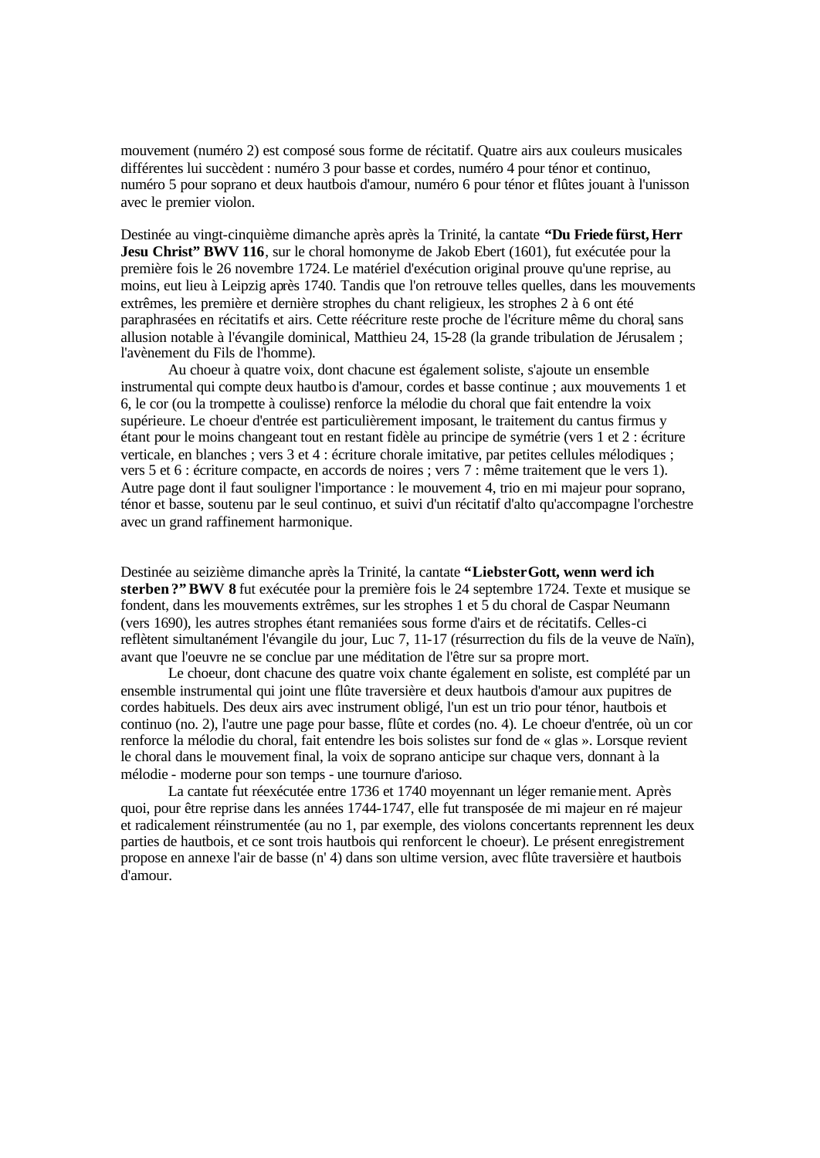mouvement (numéro 2) est composé sous forme de récitatif. Quatre airs aux couleurs musicales différentes lui succèdent : numéro 3 pour basse et cordes, numéro 4 pour ténor et continuo, numéro 5 pour soprano et deux hautbois d'amour, numéro 6 pour ténor et flûtes jouant à l'unisson avec le premier violon.

Destinée au vingt-cinquième dimanche après après la Trinité, la cantate **"Du Friede fürst, Herr Jesu Christ" BWV 116**, sur le choral homonyme de Jakob Ebert (1601), fut exécutée pour la première fois le 26 novembre 1724. Le matériel d'exécution original prouve qu'une reprise, au moins, eut lieu à Leipzig après 1740. Tandis que l'on retrouve telles quelles, dans les mouvements extrêmes, les première et dernière strophes du chant religieux, les strophes 2 à 6 ont été paraphrasées en récitatifs et airs. Cette réécriture reste proche de l'écriture même du choral, sans allusion notable à l'évangile dominical, Matthieu 24, 15-28 (la grande tribulation de Jérusalem ; l'avènement du Fils de l'homme).

Au choeur à quatre voix, dont chacune est également soliste, s'ajoute un ensemble instrumental qui compte deux hautbois d'amour, cordes et basse continue ; aux mouvements 1 et 6, le cor (ou la trompette à coulisse) renforce la mélodie du choral que fait entendre la voix supérieure. Le choeur d'entrée est particulièrement imposant, le traitement du cantus firmus y étant pour le moins changeant tout en restant fidèle au principe de symétrie (vers 1 et 2 : écriture verticale, en blanches ; vers 3 et 4 : écriture chorale imitative, par petites cellules mélodiques ; vers 5 et 6 : écriture compacte, en accords de noires ; vers 7 : même traitement que le vers 1). Autre page dont il faut souligner l'importance : le mouvement 4, trio en mi majeur pour soprano, ténor et basse, soutenu par le seul continuo, et suivi d'un récitatif d'alto qu'accompagne l'orchestre avec un grand raffinement harmonique.

Destinée au seizième dimanche après la Trinité, la cantate **"Liebster Gott, wenn werd ich sterben ?"BWV 8** fut exécutée pour la première fois le 24 septembre 1724. Texte et musique se fondent, dans les mouvements extrêmes, sur les strophes 1 et 5 du choral de Caspar Neumann (vers 1690), les autres strophes étant remaniées sous forme d'airs et de récitatifs. Celles-ci reflètent simultanément l'évangile du jour, Luc 7, 11-17 (résurrection du fils de la veuve de Naïn), avant que l'oeuvre ne se conclue par une méditation de l'être sur sa propre mort.

Le choeur, dont chacune des quatre voix chante également en soliste, est complété par un ensemble instrumental qui joint une flûte traversière et deux hautbois d'amour aux pupitres de cordes habituels. Des deux airs avec instrument obligé, l'un est un trio pour ténor, hautbois et continuo (no. 2), l'autre une page pour basse, flûte et cordes (no. 4). Le choeur d'entrée, où un cor renforce la mélodie du choral, fait entendre les bois solistes sur fond de « glas ». Lorsque revient le choral dans le mouvement final, la voix de soprano anticipe sur chaque vers, donnant à la mélodie - moderne pour son temps - une tournure d'arioso.

La cantate fut réexécutée entre 1736 et 1740 moyennant un léger remaniement. Après quoi, pour être reprise dans les années 1744-1747, elle fut transposée de mi majeur en ré majeur et radicalement réinstrumentée (au no 1, par exemple, des violons concertants reprennent les deux parties de hautbois, et ce sont trois hautbois qui renforcent le choeur). Le présent enregistrement propose en annexe l'air de basse (n' 4) dans son ultime version, avec flûte traversière et hautbois d'amour.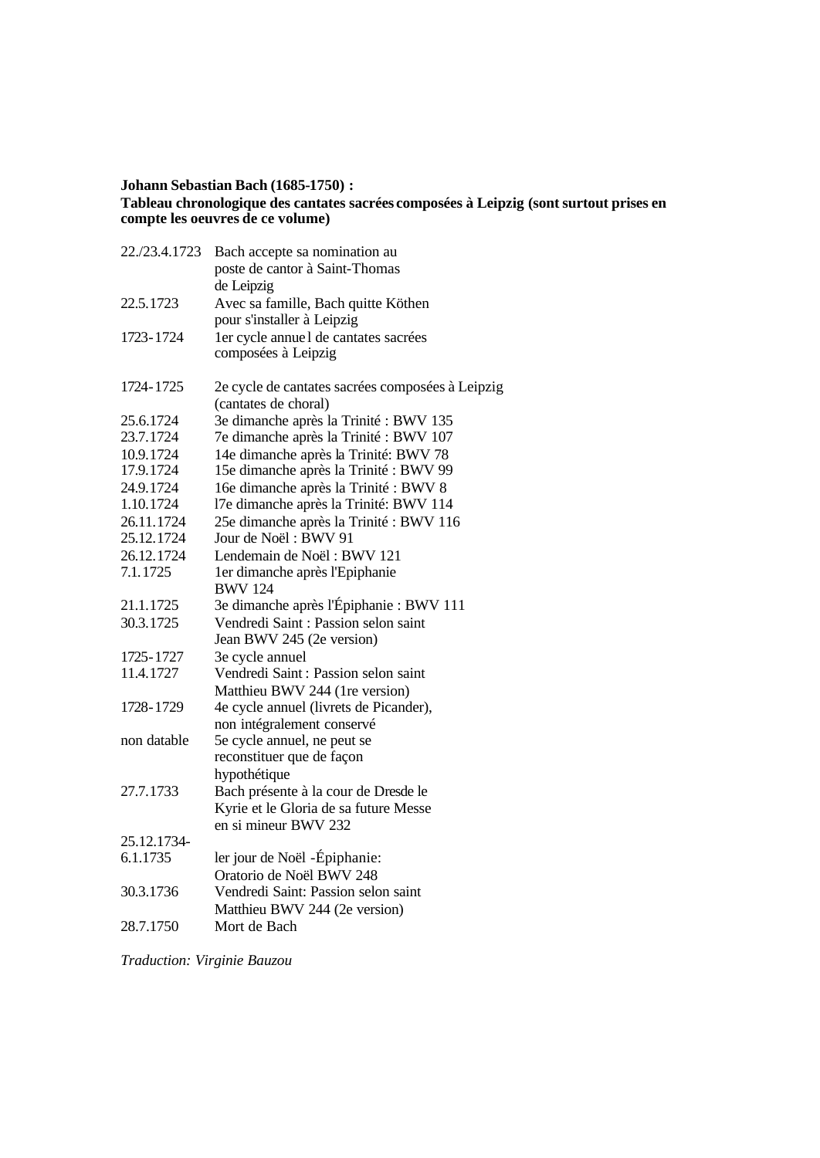## **Johann Sebastian Bach (1685-1750) : Tableau chronologique des cantates sacrées composées à Leipzig (sont surtout prises en compte les oeuvres de ce volume)**

| 22./23.4.1723 | Bach accepte sa nomination au                    |
|---------------|--------------------------------------------------|
|               | poste de cantor à Saint-Thomas                   |
|               | de Leipzig                                       |
| 22.5.1723     | Avec sa famille, Bach quitte Köthen              |
|               | pour s'installer à Leipzig                       |
| 1723-1724     | ler cycle annuel de cantates sacrées             |
|               | composées à Leipzig                              |
| 1724-1725     | 2e cycle de cantates sacrées composées à Leipzig |
|               | (cantates de choral)                             |
| 25.6.1724     | 3e dimanche après la Trinité : BWV 135           |
| 23.7.1724     | 7e dimanche après la Trinité : BWV 107           |
| 10.9.1724     | 14e dimanche après la Trinité: BWV 78            |
| 17.9.1724     | 15e dimanche après la Trinité : BWV 99           |
| 24.9.1724     | 16e dimanche après la Trinité : BWV 8            |
| 1.10.1724     | 17e dimanche après la Trinité: BWV 114           |
| 26.11.1724    | 25e dimanche après la Trinité : BWV 116          |
| 25.12.1724    | Jour de Noël: BWV 91                             |
| 26.12.1724    | Lendemain de Noël: BWV 121                       |
| 7.1.1725      | 1er dimanche après l'Epiphanie<br><b>BWV 124</b> |
| 21.1.1725     | 3e dimanche après l'Épiphanie : BWV 111          |
| 30.3.1725     | Vendredi Saint : Passion selon saint             |
|               | Jean BWV 245 (2e version)                        |
| 1725-1727     | 3e cycle annuel                                  |
| 11.4.1727     | Vendredi Saint : Passion selon saint             |
|               | Matthieu BWV 244 (1re version)                   |
| 1728-1729     | 4e cycle annuel (livrets de Picander),           |
|               | non intégralement conservé                       |
| non datable   | 5e cycle annuel, ne peut se                      |
|               | reconstituer que de façon                        |
|               | hypothétique                                     |
| 27.7.1733     | Bach présente à la cour de Dresde le             |
|               | Kyrie et le Gloria de sa future Messe            |
|               | en si mineur BWV 232                             |
| 25.12.1734-   |                                                  |
| 6.1.1735      | ler jour de Noël -Épiphanie:                     |
|               | Oratorio de Noël BWV 248                         |
| 30.3.1736     | Vendredi Saint: Passion selon saint              |
|               | Matthieu BWV 244 (2e version)                    |
| 28.7.1750     | Mort de Bach                                     |
|               |                                                  |

*Traduction: Virginie Bauzou*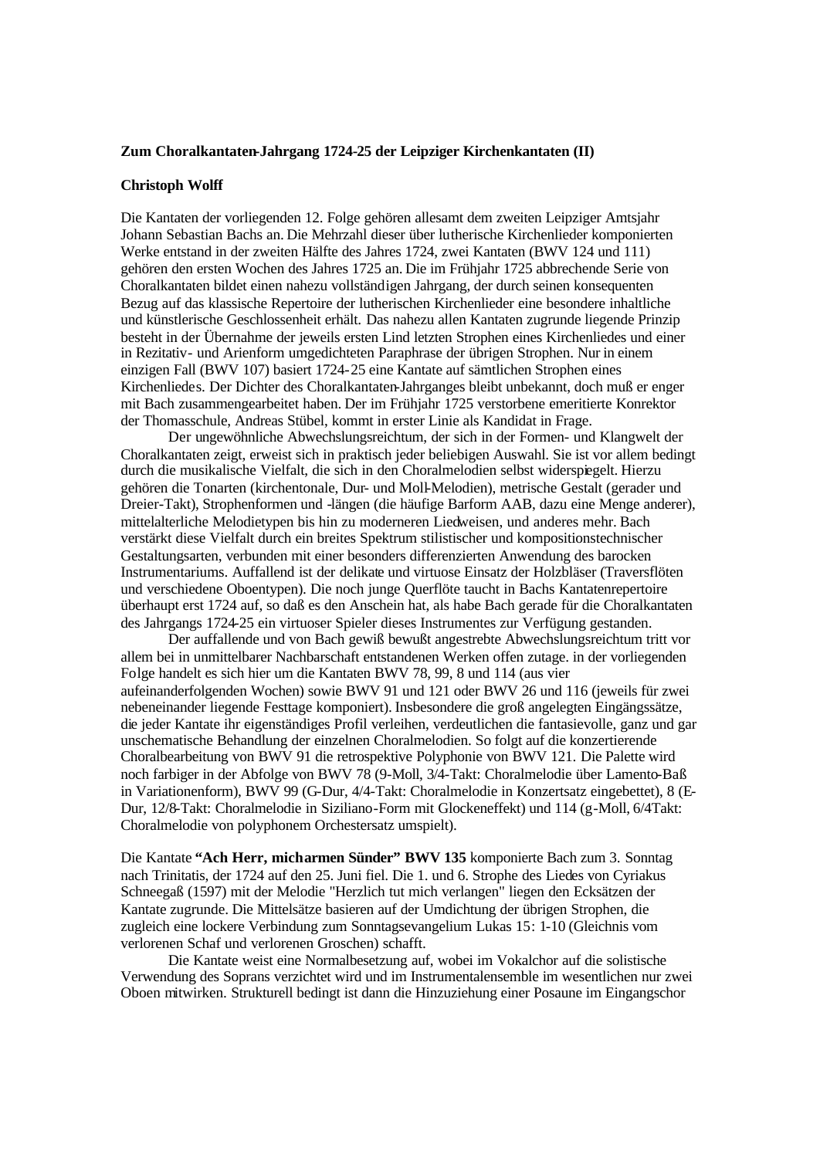#### **Zum Choralkantaten-Jahrgang 1724-25 der Leipziger Kirchenkantaten (II)**

#### **Christoph Wolff**

Die Kantaten der vorliegenden 12. Folge gehören allesamt dem zweiten Leipziger Amtsjahr Johann Sebastian Bachs an. Die Mehrzahl dieser über lutherische Kirchenlieder komponierten Werke entstand in der zweiten Hälfte des Jahres 1724, zwei Kantaten (BWV 124 und 111) gehören den ersten Wochen des Jahres 1725 an. Die im Frühjahr 1725 abbrechende Serie von Choralkantaten bildet einen nahezu vollständigen Jahrgang, der durch seinen konsequenten Bezug auf das klassische Repertoire der lutherischen Kirchenlieder eine besondere inhaltliche und künstlerische Geschlossenheit erhält. Das nahezu allen Kantaten zugrunde liegende Prinzip besteht in der Übernahme der jeweils ersten Lind letzten Strophen eines Kirchenliedes und einer in Rezitativ- und Arienform umgedichteten Paraphrase der übrigen Strophen. Nur in einem einzigen Fall (BWV 107) basiert 1724-25 eine Kantate auf sämtlichen Strophen eines Kirchenliedes. Der Dichter des Choralkantaten-Jahrganges bleibt unbekannt, doch muß er enger mit Bach zusammengearbeitet haben. Der im Frühjahr 1725 verstorbene emeritierte Konrektor der Thomasschule, Andreas Stübel, kommt in erster Linie als Kandidat in Frage.

Der ungewöhnliche Abwechslungsreichtum, der sich in der Formen- und Klangwelt der Choralkantaten zeigt, erweist sich in praktisch jeder beliebigen Auswahl. Sie ist vor allem bedingt durch die musikalische Vielfalt, die sich in den Choralmelodien selbst widerspiegelt. Hierzu gehören die Tonarten (kirchentonale, Dur- und Moll-Melodien), metrische Gestalt (gerader und Dreier-Takt), Strophenformen und -längen (die häufige Barform AAB, dazu eine Menge anderer), mittelalterliche Melodietypen bis hin zu moderneren Liedweisen, und anderes mehr. Bach verstärkt diese Vielfalt durch ein breites Spektrum stilistischer und kompositionstechnischer Gestaltungsarten, verbunden mit einer besonders differenzierten Anwendung des barocken Instrumentariums. Auffallend ist der delikate und virtuose Einsatz der Holzbläser (Traversflöten und verschiedene Oboentypen). Die noch junge Querflöte taucht in Bachs Kantatenrepertoire überhaupt erst 1724 auf, so daß es den Anschein hat, als habe Bach gerade für die Choralkantaten des Jahrgangs 1724-25 ein virtuoser Spieler dieses Instrumentes zur Verfügung gestanden.

Der auffallende und von Bach gewiß bewußt angestrebte Abwechslungsreichtum tritt vor allem bei in unmittelbarer Nachbarschaft entstandenen Werken offen zutage. in der vorliegenden Folge handelt es sich hier um die Kantaten BWV 78, 99, 8 und 114 (aus vier aufeinanderfolgenden Wochen) sowie BWV 91 und 121 oder BWV 26 und 116 (jeweils für zwei nebeneinander liegende Festtage komponiert). Insbesondere die groß angelegten Eingängssätze, die jeder Kantate ihr eigenständiges Profil verleihen, verdeutlichen die fantasievolle, ganz und gar unschematische Behandlung der einzelnen Choralmelodien. So folgt auf die konzertierende Choralbearbeitung von BWV 91 die retrospektive Polyphonie von BWV 121. Die Palette wird noch farbiger in der Abfolge von BWV 78 (9-Moll, 3/4-Takt: Choralmelodie über Lamento-Baß in Variationenform), BWV 99 (G-Dur, 4/4-Takt: Choralmelodie in Konzertsatz eingebettet), 8 (E-Dur, 12/8-Takt: Choralmelodie in Siziliano-Form mit Glockeneffekt) und 114 (g-Moll, 6/4Takt: Choralmelodie von polyphonem Orchestersatz umspielt).

Die Kantate **"Ach Herr, mich armen Sünder" BWV 135** komponierte Bach zum 3. Sonntag nach Trinitatis, der 1724 auf den 25. Juni fiel. Die 1. und 6. Strophe des Liedes von Cyriakus Schneegaß (1597) mit der Melodie "Herzlich tut mich verlangen" liegen den Ecksätzen der Kantate zugrunde. Die Mittelsätze basieren auf der Umdichtung der übrigen Strophen, die zugleich eine lockere Verbindung zum Sonntagsevangelium Lukas 15: 1-10 (Gleichnis vom verlorenen Schaf und verlorenen Groschen) schafft.

Die Kantate weist eine Normalbesetzung auf, wobei im Vokalchor auf die solistische Verwendung des Soprans verzichtet wird und im Instrumentalensemble im wesentlichen nur zwei Oboen mitwirken. Strukturell bedingt ist dann die Hinzuziehung einer Posaune im Eingangschor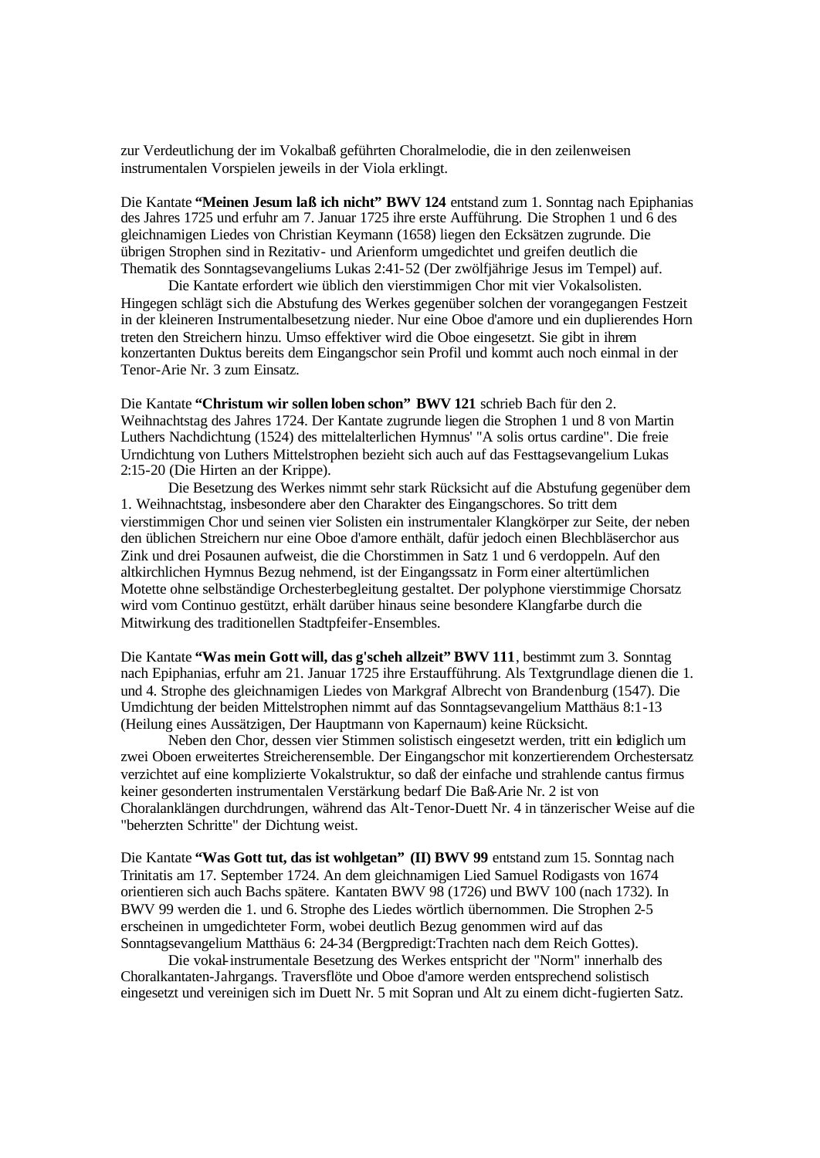zur Verdeutlichung der im Vokalbaß geführten Choralmelodie, die in den zeilenweisen instrumentalen Vorspielen jeweils in der Viola erklingt.

Die Kantate **"Meinen Jesum laß ich nicht" BWV 124** entstand zum 1. Sonntag nach Epiphanias des Jahres 1725 und erfuhr am 7. Januar 1725 ihre erste Aufführung. Die Strophen 1 und 6 des gleichnamigen Liedes von Christian Keymann (1658) liegen den Ecksätzen zugrunde. Die übrigen Strophen sind in Rezitativ- und Arienform umgedichtet und greifen deutlich die Thematik des Sonntagsevangeliums Lukas 2:41-52 (Der zwölfjährige Jesus im Tempel) auf.

Die Kantate erfordert wie üblich den vierstimmigen Chor mit vier Vokalsolisten. Hingegen schlägt sich die Abstufung des Werkes gegenüber solchen der vorangegangen Festzeit in der kleineren Instrumentalbesetzung nieder. Nur eine Oboe d'amore und ein duplierendes Horn treten den Streichern hinzu. Umso effektiver wird die Oboe eingesetzt. Sie gibt in ihrem konzertanten Duktus bereits dem Eingangschor sein Profil und kommt auch noch einmal in der Tenor-Arie Nr. 3 zum Einsatz.

Die Kantate **"Christum wir sollen loben schon" BWV 121** schrieb Bach für den 2. Weihnachtstag des Jahres 1724. Der Kantate zugrunde liegen die Strophen 1 und 8 von Martin Luthers Nachdichtung (1524) des mittelalterlichen Hymnus' "A solis ortus cardine". Die freie Urndichtung von Luthers Mittelstrophen bezieht sich auch auf das Festtagsevangelium Lukas 2:15-20 (Die Hirten an der Krippe).

Die Besetzung des Werkes nimmt sehr stark Rücksicht auf die Abstufung gegenüber dem 1. Weihnachtstag, insbesondere aber den Charakter des Eingangschores. So tritt dem vierstimmigen Chor und seinen vier Solisten ein instrumentaler Klangkörper zur Seite, der neben den üblichen Streichern nur eine Oboe d'amore enthält, dafür jedoch einen Blechbläserchor aus Zink und drei Posaunen aufweist, die die Chorstimmen in Satz 1 und 6 verdoppeln. Auf den altkirchlichen Hymnus Bezug nehmend, ist der Eingangssatz in Form einer altertümlichen Motette ohne selbständige Orchesterbegleitung gestaltet. Der polyphone vierstimmige Chorsatz wird vom Continuo gestützt, erhält darüber hinaus seine besondere Klangfarbe durch die Mitwirkung des traditionellen Stadtpfeifer-Ensembles.

Die Kantate **"Was mein Gott will, das g'scheh allzeit" BWV 111**, bestimmt zum 3. Sonntag nach Epiphanias, erfuhr am 21. Januar 1725 ihre Erstaufführung. Als Textgrundlage dienen die 1. und 4. Strophe des gleichnamigen Liedes von Markgraf Albrecht von Brandenburg (1547). Die Umdichtung der beiden Mittelstrophen nimmt auf das Sonntagsevangelium Matthäus 8:1-13 (Heilung eines Aussätzigen, Der Hauptmann von Kapernaum) keine Rücksicht.

Neben den Chor, dessen vier Stimmen solistisch eingesetzt werden, tritt ein lediglich um zwei Oboen erweitertes Streicherensemble. Der Eingangschor mit konzertierendem Orchestersatz verzichtet auf eine komplizierte Vokalstruktur, so daß der einfache und strahlende cantus firmus keiner gesonderten instrumentalen Verstärkung bedarf Die Baß-Arie Nr. 2 ist von Choralanklängen durchdrungen, während das Alt-Tenor-Duett Nr. 4 in tänzerischer Weise auf die "beherzten Schritte" der Dichtung weist.

Die Kantate **"Was Gott tut, das ist wohlgetan" (II) BWV 99** entstand zum 15. Sonntag nach Trinitatis am 17. September 1724. An dem gleichnamigen Lied Samuel Rodigasts von 1674 orientieren sich auch Bachs spätere. Kantaten BWV 98 (1726) und BWV 100 (nach 1732). In BWV 99 werden die 1. und 6. Strophe des Liedes wörtlich übernommen. Die Strophen 2-5 erscheinen in umgedichteter Form, wobei deutlich Bezug genommen wird auf das Sonntagsevangelium Matthäus 6: 24-34 (Bergpredigt:Trachten nach dem Reich Gottes).

Die vokal-instrumentale Besetzung des Werkes entspricht der "Norm" innerhalb des Choralkantaten-Jahrgangs. Traversflöte und Oboe d'amore werden entsprechend solistisch eingesetzt und vereinigen sich im Duett Nr. 5 mit Sopran und Alt zu einem dicht-fugierten Satz.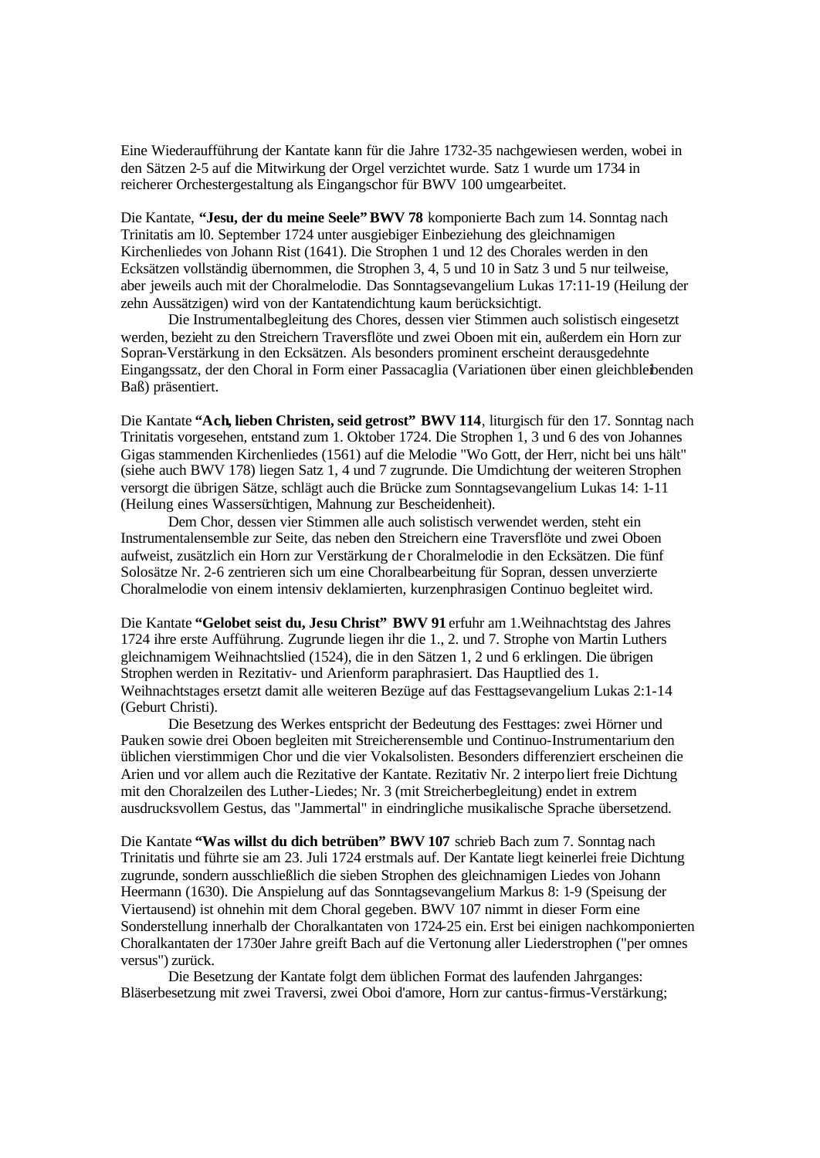Eine Wiederaufführung der Kantate kann für die Jahre 1732-35 nachgewiesen werden, wobei in den Sätzen 2-5 auf die Mitwirkung der Orgel verzichtet wurde. Satz 1 wurde um 1734 in reicherer Orchestergestaltung als Eingangschor für BWV 100 umgearbeitet.

Die Kantate, **"Jesu, der du meine Seele" BWV 78** komponierte Bach zum 14. Sonntag nach Trinitatis am l0. September 1724 unter ausgiebiger Einbeziehung des gleichnamigen Kirchenliedes von Johann Rist (1641). Die Strophen 1 und 12 des Chorales werden in den Ecksätzen vollständig übernommen, die Strophen 3, 4, 5 und 10 in Satz 3 und 5 nur teilweise, aber jeweils auch mit der Choralmelodie. Das Sonntagsevangelium Lukas 17:11-19 (Heilung der zehn Aussätzigen) wird von der Kantatendichtung kaum berücksichtigt.

Die Instrumentalbegleitung des Chores, dessen vier Stimmen auch solistisch eingesetzt werden, bezieht zu den Streichern Traversflöte und zwei Oboen mit ein, außerdem ein Horn zur Sopran-Verstärkung in den Ecksätzen. Als besonders prominent erscheint derausgedehnte Eingangssatz, der den Choral in Form einer Passacaglia (Variationen über einen gleichbleibenden Baß) präsentiert.

Die Kantate **"Ach, lieben Christen, seid getrost" BWV 114**, liturgisch für den 17. Sonntag nach Trinitatis vorgesehen, entstand zum 1. Oktober 1724. Die Strophen 1, 3 und 6 des von Johannes Gigas stammenden Kirchenliedes (1561) auf die Melodie "Wo Gott, der Herr, nicht bei uns hält" (siehe auch BWV 178) liegen Satz 1, 4 und 7 zugrunde. Die Umdichtung der weiteren Strophen versorgt die übrigen Sätze, schlägt auch die Brücke zum Sonntagsevangelium Lukas 14: 1-11 (Heilung eines Wassersüchtigen, Mahnung zur Bescheidenheit).

Dem Chor, dessen vier Stimmen alle auch solistisch verwendet werden, steht ein Instrumentalensemble zur Seite, das neben den Streichern eine Traversflöte und zwei Oboen aufweist, zusätzlich ein Horn zur Verstärkung de r Choralmelodie in den Ecksätzen. Die fünf Solosätze Nr. 2-6 zentrieren sich um eine Choralbearbeitung für Sopran, dessen unverzierte Choralmelodie von einem intensiv deklamierten, kurzenphrasigen Continuo begleitet wird.

Die Kantate **"Gelobet seist du, Jesu Christ" BWV 91** erfuhr am 1.Weihnachtstag des Jahres 1724 ihre erste Aufführung. Zugrunde liegen ihr die 1., 2. und 7. Strophe von Martin Luthers gleichnamigem Weihnachtslied (1524), die in den Sätzen 1, 2 und 6 erklingen. Die übrigen Strophen werden in Rezitativ- und Arienform paraphrasiert. Das Hauptlied des 1. Weihnachtstages ersetzt damit alle weiteren Bezüge auf das Festtagsevangelium Lukas 2:1-14 (Geburt Christi).

Die Besetzung des Werkes entspricht der Bedeutung des Festtages: zwei Hörner und Pauken sowie drei Oboen begleiten mit Streicherensemble und Continuo-Instrumentarium den üblichen vierstimmigen Chor und die vier Vokalsolisten. Besonders differenziert erscheinen die Arien und vor allem auch die Rezitative der Kantate. Rezitativ Nr. 2 interpoliert freie Dichtung mit den Choralzeilen des Luther-Liedes; Nr. 3 (mit Streicherbegleitung) endet in extrem ausdrucksvollem Gestus, das "Jammertal" in eindringliche musikalische Sprache übersetzend.

Die Kantate **"Was willst du dich betrüben" BWV 107** schrieb Bach zum 7. Sonntag nach Trinitatis und führte sie am 23. Juli 1724 erstmals auf. Der Kantate liegt keinerlei freie Dichtung zugrunde, sondern ausschließlich die sieben Strophen des gleichnamigen Liedes von Johann Heermann (1630). Die Anspielung auf das Sonntagsevangelium Markus 8: 1-9 (Speisung der Viertausend) ist ohnehin mit dem Choral gegeben. BWV 107 nimmt in dieser Form eine Sonderstellung innerhalb der Choralkantaten von 1724-25 ein. Erst bei einigen nachkomponierten Choralkantaten der 1730er Jahre greift Bach auf die Vertonung aller Liederstrophen ("per omnes versus") zurück.

Die Besetzung der Kantate folgt dem üblichen Format des laufenden Jahrganges: Bläserbesetzung mit zwei Traversi, zwei Oboi d'amore, Horn zur cantus-firmus-Verstärkung;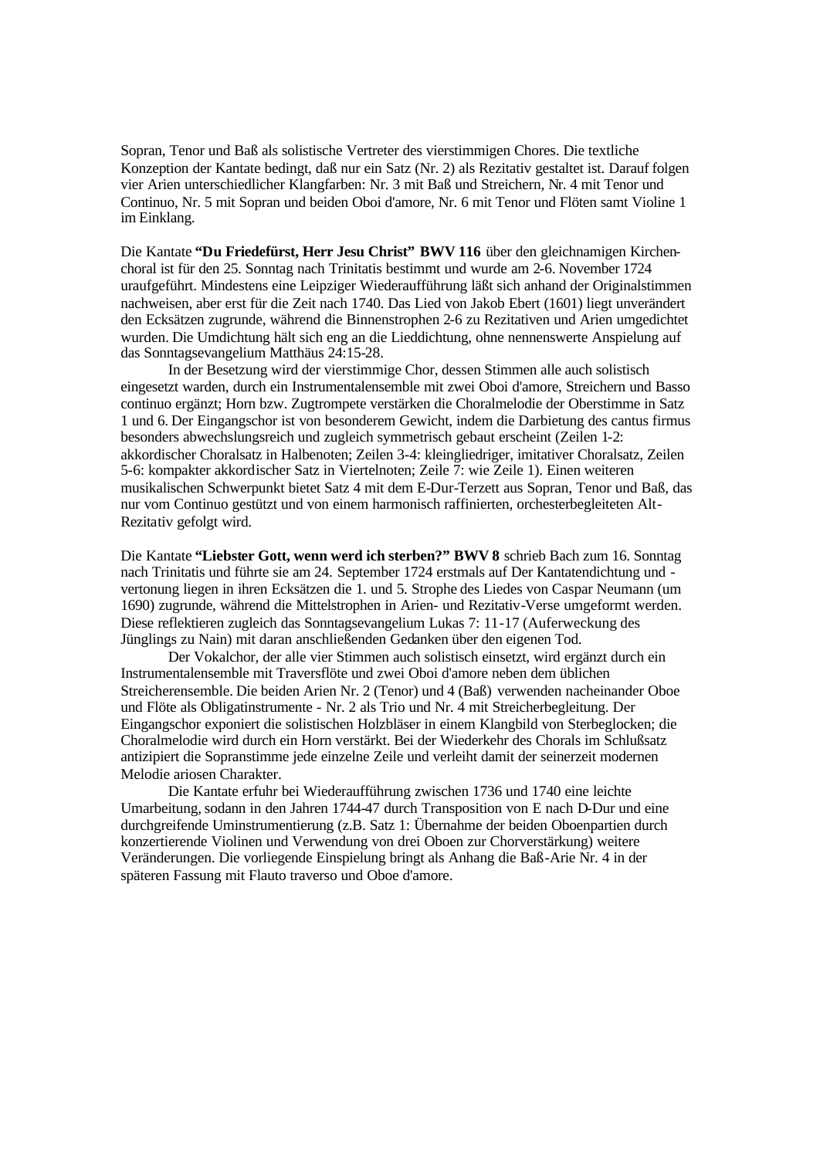Sopran, Tenor und Baß als solistische Vertreter des vierstimmigen Chores. Die textliche Konzeption der Kantate bedingt, daß nur ein Satz (Nr. 2) als Rezitativ gestaltet ist. Darauf folgen vier Arien unterschiedlicher Klangfarben: Nr. 3 mit Baß und Streichern, Nr. 4 mit Tenor und Continuo, Nr. 5 mit Sopran und beiden Oboi d'amore, Nr. 6 mit Tenor und Flöten samt Violine 1 im Einklang.

Die Kantate **"Du Friedefürst, Herr Jesu Christ" BWV 116** über den gleichnamigen Kirchenchoral ist für den 25. Sonntag nach Trinitatis bestimmt und wurde am 2-6. November 1724 uraufgeführt. Mindestens eine Leipziger Wiederaufführung läßt sich anhand der Originalstimmen nachweisen, aber erst für die Zeit nach 1740. Das Lied von Jakob Ebert (1601) liegt unverändert den Ecksätzen zugrunde, während die Binnenstrophen 2-6 zu Rezitativen und Arien umgedichtet wurden. Die Umdichtung hält sich eng an die Lieddichtung, ohne nennenswerte Anspielung auf das Sonntagsevangelium Matthäus 24:15-28.

In der Besetzung wird der vierstimmige Chor, dessen Stimmen alle auch solistisch eingesetzt warden, durch ein Instrumentalensemble mit zwei Oboi d'amore, Streichern und Basso continuo ergänzt; Horn bzw. Zugtrompete verstärken die Choralmelodie der Oberstimme in Satz 1 und 6. Der Eingangschor ist von besonderem Gewicht, indem die Darbietung des cantus firmus besonders abwechslungsreich und zugleich symmetrisch gebaut erscheint (Zeilen 1-2: akkordischer Choralsatz in Halbenoten; Zeilen 3-4: kleingliedriger, imitativer Choralsatz, Zeilen 5-6: kompakter akkordischer Satz in Viertelnoten; Zeile 7: wie Zeile 1). Einen weiteren musikalischen Schwerpunkt bietet Satz 4 mit dem E-Dur-Terzett aus Sopran, Tenor und Baß, das nur vom Continuo gestützt und von einem harmonisch raffinierten, orchesterbegleiteten Alt-Rezitativ gefolgt wird.

Die Kantate **"Liebster Gott, wenn werd ich sterben?" BWV 8** schrieb Bach zum 16. Sonntag nach Trinitatis und führte sie am 24. September 1724 erstmals auf Der Kantatendichtung und vertonung liegen in ihren Ecksätzen die 1. und 5. Strophe des Liedes von Caspar Neumann (um 1690) zugrunde, während die Mittelstrophen in Arien- und Rezitativ-Verse umgeformt werden. Diese reflektieren zugleich das Sonntagsevangelium Lukas 7: 11-17 (Auferweckung des Jünglings zu Nain) mit daran anschließenden Gedanken über den eigenen Tod.

Der Vokalchor, der alle vier Stimmen auch solistisch einsetzt, wird ergänzt durch ein Instrumentalensemble mit Traversflöte und zwei Oboi d'amore neben dem üblichen Streicherensemble. Die beiden Arien Nr. 2 (Tenor) und 4 (Baß) verwenden nacheinander Oboe und Flöte als Obligatinstrumente - Nr. 2 als Trio und Nr. 4 mit Streicherbegleitung. Der Eingangschor exponiert die solistischen Holzbläser in einem Klangbild von Sterbeglocken; die Choralmelodie wird durch ein Horn verstärkt. Bei der Wiederkehr des Chorals im Schlußsatz antizipiert die Sopranstimme jede einzelne Zeile und verleiht damit der seinerzeit modernen Melodie ariosen Charakter.

Die Kantate erfuhr bei Wiederaufführung zwischen 1736 und 1740 eine leichte Umarbeitung, sodann in den Jahren 1744-47 durch Transposition von E nach D-Dur und eine durchgreifende Uminstrumentierung (z.B. Satz 1: Übernahme der beiden Oboenpartien durch konzertierende Violinen und Verwendung von drei Oboen zur Chorverstärkung) weitere Veränderungen. Die vorliegende Einspielung bringt als Anhang die Baß-Arie Nr. 4 in der späteren Fassung mit Flauto traverso und Oboe d'amore.